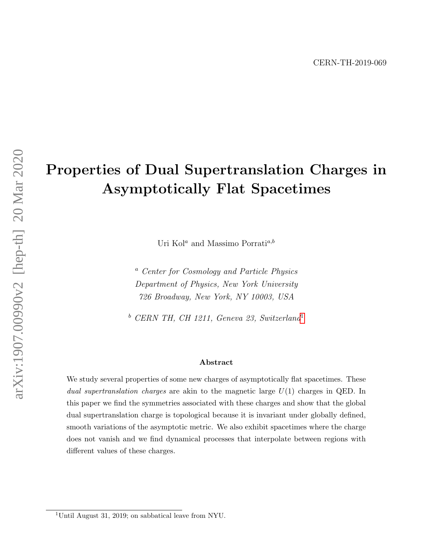# Properties of Dual Supertranslation Charges in Asymptotically Flat Spacetimes

Uri Kol<sup>a</sup> and Massimo Porrati<sup>a,b</sup>

<sup>a</sup> Center for Cosmology and Particle Physics Department of Physics, New York University 726 Broadway, New York, NY 10003, USA

 $b$  CERN TH, CH [1](#page-0-0)211, Geneva 23, Switzerland<sup>1</sup>

#### Abstract

We study several properties of some new charges of asymptotically flat spacetimes. These dual supertranslation charges are akin to the magnetic large  $U(1)$  charges in QED. In this paper we find the symmetries associated with these charges and show that the global dual supertranslation charge is topological because it is invariant under globally defined, smooth variations of the asymptotic metric. We also exhibit spacetimes where the charge does not vanish and we find dynamical processes that interpolate between regions with different values of these charges.

arXiv:1907.00990v2 [hep-th] 20 Mar 2020 arXiv:1907.00990v2 [hep-th] 20 Mar 2020

<span id="page-0-0"></span><sup>1</sup>Until August 31, 2019; on sabbatical leave from NYU.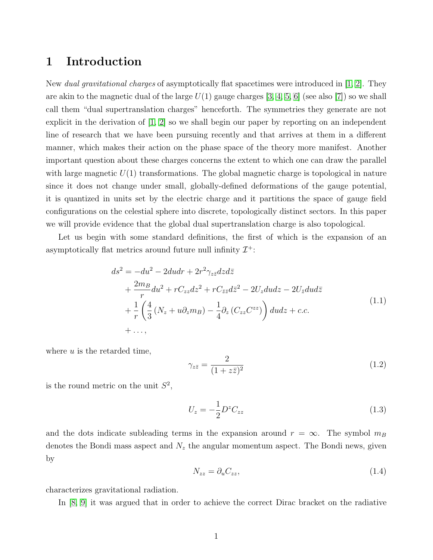# 1 Introduction

New *dual gravitational charges* of asymptotically flat spacetimes were introduced in [\[1,](#page-37-0) [2\]](#page-37-1). They are akin to the magnetic dual of the large  $U(1)$  gauge charges [\[3,](#page-37-2) [4,](#page-37-3) [5,](#page-37-4) [6\]](#page-37-5) (see also [\[7\]](#page-37-6)) so we shall call them "dual supertranslation charges" henceforth. The symmetries they generate are not explicit in the derivation of  $[1, 2]$  $[1, 2]$  so we shall begin our paper by reporting on an independent line of research that we have been pursuing recently and that arrives at them in a different manner, which makes their action on the phase space of the theory more manifest. Another important question about these charges concerns the extent to which one can draw the parallel with large magnetic  $U(1)$  transformations. The global magnetic charge is topological in nature since it does not change under small, globally-defined deformations of the gauge potential, it is quantized in units set by the electric charge and it partitions the space of gauge field configurations on the celestial sphere into discrete, topologically distinct sectors. In this paper we will provide evidence that the global dual supertranslation charge is also topological.

Let us begin with some standard definitions, the first of which is the expansion of an asymptotically flat metrics around future null infinity  $\mathcal{I}^+$ :

<span id="page-1-0"></span>
$$
ds^{2} = -du^{2} - 2du dr + 2r^{2}\gamma_{z\bar{z}}dzd\bar{z} + \frac{2m_{B}}{r}du^{2} + rC_{zz}dz^{2} + rC_{\bar{z}\bar{z}}d\bar{z}^{2} - 2U_{z}dudz - 2U_{\bar{z}}dud\bar{z} + \frac{1}{r}\left(\frac{4}{3}\left(N_{z} + u\partial_{z}m_{B}\right) - \frac{1}{4}\partial_{z}\left(C_{zz}C^{zz}\right)\right)dudz + c.c. + ...,
$$
\n(1.1)

where  $u$  is the retarded time,

$$
\gamma_{z\bar{z}} = \frac{2}{(1+z\bar{z})^2} \tag{1.2}
$$

is the round metric on the unit  $S^2$ ,

$$
U_z = -\frac{1}{2}D^z C_{zz} \tag{1.3}
$$

and the dots indicate subleading terms in the expansion around  $r = \infty$ . The symbol  $m_B$ denotes the Bondi mass aspect and  $N_z$  the angular momentum aspect. The Bondi news, given by

$$
N_{zz} = \partial_u C_{zz},\tag{1.4}
$$

characterizes gravitational radiation.

In [\[8,](#page-37-7) [9\]](#page-37-8) it was argued that in order to achieve the correct Dirac bracket on the radiative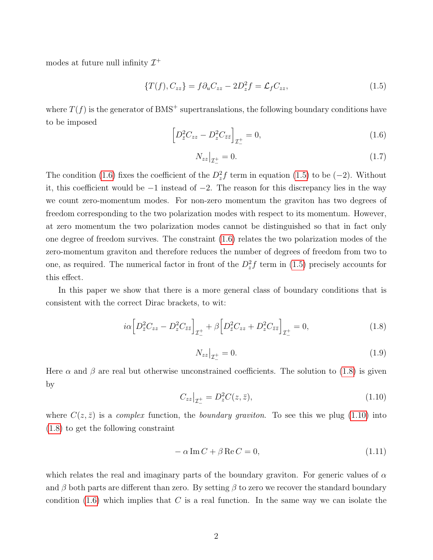modes at future null infinity  $\mathcal{I}^+$ 

<span id="page-2-1"></span>
$$
\{T(f), C_{zz}\} = f\partial_u C_{zz} - 2D_z^2 f = \mathcal{L}_f C_{zz},\tag{1.5}
$$

where  $T(f)$  is the generator of BMS<sup>+</sup> supertranslations, the following boundary conditions have to be imposed

<span id="page-2-0"></span>
$$
\[D_{\bar{z}}^2 C_{zz} - D_z^2 C_{\bar{z}\bar{z}}\]_{\mathcal{I}_{-}^{\pm}} = 0,\tag{1.6}
$$

<span id="page-2-4"></span>
$$
N_{zz}|_{\mathcal{I}_{-}^{\pm}} = 0. \tag{1.7}
$$

The condition [\(1.6\)](#page-2-0) fixes the coefficient of the  $D_z^2 f$  term in equation [\(1.5\)](#page-2-1) to be (-2). Without it, this coefficient would be −1 instead of −2. The reason for this discrepancy lies in the way we count zero-momentum modes. For non-zero momentum the graviton has two degrees of freedom corresponding to the two polarization modes with respect to its momentum. However, at zero momentum the two polarization modes cannot be distinguished so that in fact only one degree of freedom survives. The constraint [\(1.6\)](#page-2-0) relates the two polarization modes of the zero-momentum graviton and therefore reduces the number of degrees of freedom from two to one, as required. The numerical factor in front of the  $D_z^2 f$  term in [\(1.5\)](#page-2-1) precisely accounts for this effect.

In this paper we show that there is a more general class of boundary conditions that is consistent with the correct Dirac brackets, to wit:

<span id="page-2-2"></span>
$$
i\alpha \left[ D_{\bar{z}}^2 C_{zz} - D_z^2 C_{\bar{z}\bar{z}} \right]_{\mathcal{I}_{-}^{\perp}} + \beta \left[ D_{\bar{z}}^2 C_{zz} + D_z^2 C_{\bar{z}\bar{z}} \right]_{\mathcal{I}_{-}^{\perp}} = 0, \tag{1.8}
$$

$$
N_{zz}|_{\mathcal{I}_{-}^+} = 0. \tag{1.9}
$$

Here  $\alpha$  and  $\beta$  are real but otherwise unconstrained coefficients. The solution to [\(1.8\)](#page-2-2) is given by

<span id="page-2-3"></span>
$$
C_{zz}\big|_{\mathcal{I}_{-}^{+}} = D_z^2 C(z,\bar{z}),\tag{1.10}
$$

where  $C(z, \bar{z})$  is a complex function, the boundary graviton. To see this we plug [\(1.10\)](#page-2-3) into [\(1.8\)](#page-2-2) to get the following constraint

$$
-\alpha \operatorname{Im} C + \beta \operatorname{Re} C = 0, \tag{1.11}
$$

which relates the real and imaginary parts of the boundary graviton. For generic values of  $\alpha$ and  $\beta$  both parts are different than zero. By setting  $\beta$  to zero we recover the standard boundary condition  $(1.6)$  which implies that C is a real function. In the same way we can isolate the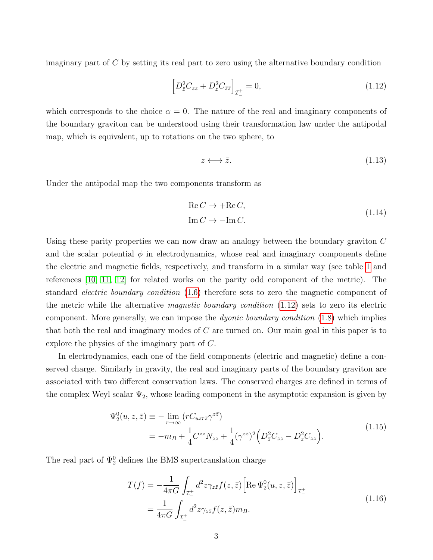imaginary part of  $C$  by setting its real part to zero using the alternative boundary condition

<span id="page-3-0"></span>
$$
\[D_{\bar{z}}^2 C_{zz} + D_z^2 C_{\bar{z}\bar{z}}\]_{\mathcal{I}_{-}^{\pm}} = 0,\tag{1.12}
$$

which corresponds to the choice  $\alpha = 0$ . The nature of the real and imaginary components of the boundary graviton can be understood using their transformation law under the antipodal map, which is equivalent, up to rotations on the two sphere, to

$$
z \longleftrightarrow \bar{z}.\tag{1.13}
$$

Under the antipodal map the two components transform as

$$
Re C \to +Re C,
$$
  
\n
$$
Im C \to -Im C.
$$
\n(1.14)

Using these parity properties we can now draw an analogy between the boundary graviton C and the scalar potential  $\phi$  in electrodynamics, whose real and imaginary components define the electric and magnetic fields, respectively, and transform in a similar way (see table [1](#page-4-0) and references [\[10,](#page-37-9) [11,](#page-37-10) [12\]](#page-38-0) for related works on the parity odd component of the metric). The standard electric boundary condition [\(1.6\)](#page-2-0) therefore sets to zero the magnetic component of the metric while the alternative magnetic boundary condition [\(1.12\)](#page-3-0) sets to zero its electric component. More generally, we can impose the dyonic boundary condition [\(1.8\)](#page-2-2) which implies that both the real and imaginary modes of C are turned on. Our main goal in this paper is to explore the physics of the imaginary part of C.

In electrodynamics, each one of the field components (electric and magnetic) define a conserved charge. Similarly in gravity, the real and imaginary parts of the boundary graviton are associated with two different conservation laws. The conserved charges are defined in terms of the complex Weyl scalar  $\Psi_2$ , whose leading component in the asymptotic expansion is given by

$$
\Psi_2^0(u, z, \bar{z}) \equiv -\lim_{r \to \infty} (rC_{uzr\bar{z}} \gamma^{z\bar{z}})
$$
  
= 
$$
-m_B + \frac{1}{4} C^{zz} N_{zz} + \frac{1}{4} (\gamma^{z\bar{z}})^2 \left( D_{\bar{z}}^2 C_{zz} - D_z^2 C_{\bar{z}\bar{z}} \right).
$$
 (1.15)

The real part of  $\Psi^0_2$  defines the BMS supertranslation charge

<span id="page-3-1"></span>
$$
T(f) = -\frac{1}{4\pi G} \int_{\mathcal{I}_{-}^{\pm}} d^2 z \gamma_{z\bar{z}} f(z, \bar{z}) \left[ \text{Re } \Psi_2^0(u, z, \bar{z}) \right]_{\mathcal{I}_{-}^{\pm}} = \frac{1}{4\pi G} \int_{\mathcal{I}_{-}^{\pm}} d^2 z \gamma_{z\bar{z}} f(z, \bar{z}) m_B.
$$
 (1.16)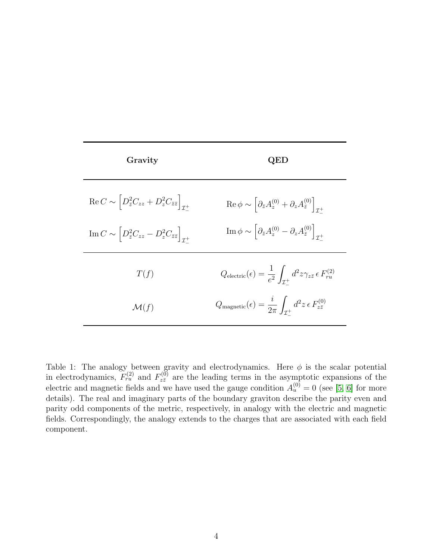| Gravity                                                                                            | JED                                                                                                                      |
|----------------------------------------------------------------------------------------------------|--------------------------------------------------------------------------------------------------------------------------|
| $\operatorname{Re} C \sim \left[ D_{\bar{z}}^2 C_{zz} + D_z^2 C_{\bar{z}\bar{z}} \right]_{\tau^+}$ | $\operatorname{Re}\phi\sim\left[\partial_{\bar{z}}A_{z}^{(0)}+\partial_{z}A_{\bar{z}}^{(0)}\right]_{\mathcal{I}^{+}}$    |
| $\operatorname{Im} C \sim \left[ D_{\bar{z}}^2 C_{zz} - D_z^2 C_{\bar{z}\bar{z}} \right]_{\tau+}$  | $\operatorname{Im} \phi \sim \left[ \partial_{\bar{z}} A_z^{(0)} - \partial_z A_{\bar{z}}^{(0)} \right]_{\mathcal{I}^+}$ |
| T(f)                                                                                               | $Q_{\text{electric}}(\epsilon) = \frac{1}{e^2} \int_{\mathcal{T}^+} d^2 z \gamma_{z\bar{z}} \,\epsilon \, F_{ru}^{(2)}$  |
| $\mathcal{M}(f)$                                                                                   | $Q_{\text{magnetic}}(\epsilon) = \frac{i}{2\pi} \int_{\tau^+} d^2 z \,\epsilon \, F_{z\bar{z}}^{(0)}$                    |

<span id="page-4-0"></span>Table 1: The analogy between gravity and electrodynamics. Here  $\phi$  is the scalar potential in electrodynamics,  $F_{ru}^{(2)}$  and  $F_{z\bar{z}}^{(0)}$  are the leading terms in the asymptotic expansions of the electric and magnetic fields and we have used the gauge condition  $A_u^{(0)} = 0$  (see [\[5,](#page-37-4) [6\]](#page-37-5) for more details). The real and imaginary parts of the boundary graviton describe the parity even and parity odd components of the metric, respectively, in analogy with the electric and magnetic fields. Correspondingly, the analogy extends to the charges that are associated with each field component.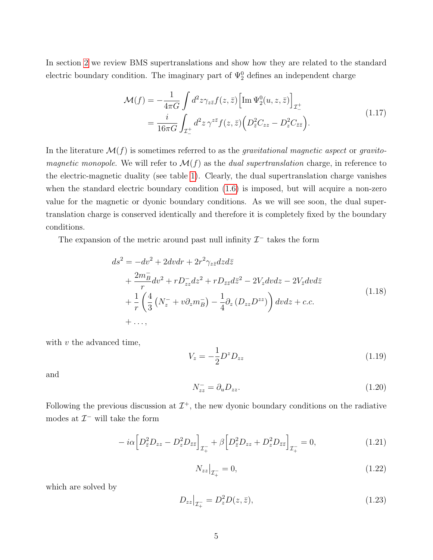In section [2](#page-9-0) we review BMS supertranslations and show how they are related to the standard electric boundary condition. The imaginary part of  $\Psi_2^0$  defines an independent charge

<span id="page-5-1"></span>
$$
\mathcal{M}(f) = -\frac{1}{4\pi G} \int d^2 z \gamma_{z\bar{z}} f(z,\bar{z}) \left[ \text{Im } \Psi_2^0(u,z,\bar{z}) \right]_{\mathcal{I}_{\perp}^{\perp}}
$$
  
= 
$$
\frac{i}{16\pi G} \int_{\mathcal{I}_{\perp}^{\perp}} d^2 z \, \gamma^{z\bar{z}} f(z,\bar{z}) \left( D_{\bar{z}}^2 C_{zz} - D_z^2 C_{\bar{z}\bar{z}} \right).
$$
 (1.17)

In the literature  $\mathcal{M}(f)$  is sometimes referred to as the *gravitational magnetic aspect* or *gravito*magnetic monopole. We will refer to  $\mathcal{M}(f)$  as the dual supertranslation charge, in reference to the electric-magnetic duality (see table [1\)](#page-4-0). Clearly, the dual supertranslation charge vanishes when the standard electric boundary condition  $(1.6)$  is imposed, but will acquire a non-zero value for the magnetic or dyonic boundary conditions. As we will see soon, the dual supertranslation charge is conserved identically and therefore it is completely fixed by the boundary conditions.

The expansion of the metric around past null infinity  $\mathcal{I}^-$  takes the form

$$
ds^{2} = -dv^{2} + 2dvdr + 2r^{2}\gamma_{z\bar{z}}dzd\bar{z}
$$
  
+ 
$$
\frac{2m_{B}^{-}}{r}dv^{2} + rD_{zz}^{-}dz^{2} + rD_{\bar{z}\bar{z}}d\bar{z}^{2} - 2V_{z}dvdz - 2V_{\bar{z}}dvd\bar{z}
$$
  
+ 
$$
\frac{1}{r}\left(\frac{4}{3}\left(N_{z}^{-} + v\partial_{z}m_{B}^{-}\right) - \frac{1}{4}\partial_{z}\left(D_{zz}D^{zz}\right)\right)dvdz + c.c.
$$
  
+ ... , \t(1.18)

with  $v$  the advanced time,

$$
V_z = -\frac{1}{2}D^z D_{zz} \tag{1.19}
$$

and

$$
N_{zz}^- = \partial_u D_{zz}.\tag{1.20}
$$

Following the previous discussion at  $\mathcal{I}^+$ , the new dyonic boundary conditions on the radiative modes at  $\mathcal{I}^-$  will take the form

<span id="page-5-0"></span>
$$
-i\alpha \left[ D_{\bar{z}}^2 D_{zz} - D_z^2 D_{\bar{z}\bar{z}} \right]_{\mathcal{I}_{+}^{-}} + \beta \left[ D_{\bar{z}}^2 D_{zz} + D_z^2 D_{\bar{z}\bar{z}} \right]_{\mathcal{I}_{+}^{-}} = 0, \tag{1.21}
$$

$$
N_{zz}|_{\mathcal{I}^-_+} = 0,\tag{1.22}
$$

which are solved by

$$
D_{zz}\big|_{\mathcal{I}_+^-} = D_z^2 D(z,\bar{z}),\tag{1.23}
$$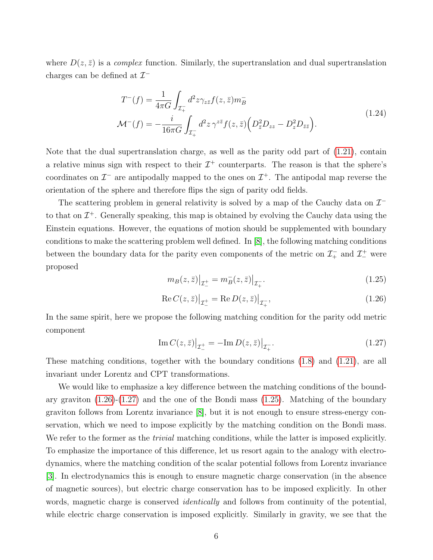where  $D(z, \bar{z})$  is a *complex* function. Similarly, the supertranslation and dual supertranslation charges can be defined at  $\mathcal{I}^-$ 

$$
T^{-}(f) = \frac{1}{4\pi G} \int_{\mathcal{I}_{+}^{-}} d^{2}z \gamma_{z\bar{z}} f(z, \bar{z}) m_{B}^{-}
$$
  

$$
\mathcal{M}^{-}(f) = -\frac{i}{16\pi G} \int_{\mathcal{I}_{+}^{-}} d^{2}z \gamma^{z\bar{z}} f(z, \bar{z}) \left( D_{\bar{z}}^{2} D_{zz} - D_{z}^{2} D_{\bar{z}\bar{z}} \right).
$$
(1.24)

Note that the dual supertranslation charge, as well as the parity odd part of [\(1.21\)](#page-5-0), contain a relative minus sign with respect to their  $\mathcal{I}^+$  counterparts. The reason is that the sphere's coordinates on  $\mathcal{I}^-$  are antipodally mapped to the ones on  $\mathcal{I}^+$ . The antipodal map reverse the orientation of the sphere and therefore flips the sign of parity odd fields.

The scattering problem in general relativity is solved by a map of the Cauchy data on  $\mathcal{I}^$ to that on  $\mathcal{I}^+$ . Generally speaking, this map is obtained by evolving the Cauchy data using the Einstein equations. However, the equations of motion should be supplemented with boundary conditions to make the scattering problem well defined. In [\[8\]](#page-37-7), the following matching conditions between the boundary data for the parity even components of the metric on  $\mathcal{I}^-_+$  and  $\mathcal{I}^+_-$  were proposed

<span id="page-6-2"></span>
$$
m_B(z, \bar{z})\big|_{\mathcal{I}_-^+} = m_B^-(z, \bar{z})\big|_{\mathcal{I}_+^-}.\tag{1.25}
$$

<span id="page-6-0"></span>
$$
\text{Re}\, C(z,\bar{z})\big|_{\mathcal{I}_{-}^{+}} = \text{Re}\, D(z,\bar{z})\big|_{\mathcal{I}_{+}^{-}},\tag{1.26}
$$

In the same spirit, here we propose the following matching condition for the parity odd metric component

<span id="page-6-1"></span>
$$
\text{Im}\,C(z,\bar{z})\big|_{\mathcal{I}_{-}^{+}} = -\text{Im}\,D(z,\bar{z})\big|_{\mathcal{I}_{+}^{-}}.\tag{1.27}
$$

These matching conditions, together with the boundary conditions [\(1.8\)](#page-2-2) and [\(1.21\)](#page-5-0), are all invariant under Lorentz and CPT transformations.

We would like to emphasize a key difference between the matching conditions of the boundary graviton [\(1.26\)](#page-6-0)-[\(1.27\)](#page-6-1) and the one of the Bondi mass [\(1.25\)](#page-6-2). Matching of the boundary graviton follows from Lorentz invariance [\[8\]](#page-37-7), but it is not enough to ensure stress-energy conservation, which we need to impose explicitly by the matching condition on the Bondi mass. We refer to the former as the *trivial* matching conditions, while the latter is imposed explicitly. To emphasize the importance of this difference, let us resort again to the analogy with electrodynamics, where the matching condition of the scalar potential follows from Lorentz invariance [\[3\]](#page-37-2). In electrodynamics this is enough to ensure magnetic charge conservation (in the absence of magnetic sources), but electric charge conservation has to be imposed explicitly. In other words, magnetic charge is conserved *identically* and follows from continuity of the potential, while electric charge conservation is imposed explicitly. Similarly in gravity, we see that the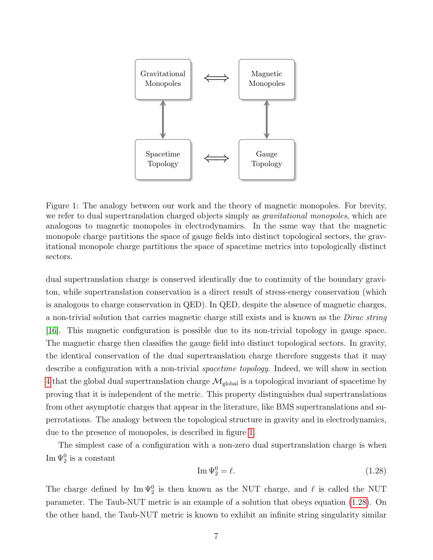

<span id="page-7-0"></span>Figure 1: The analogy between our work and the theory of magnetic monopoles. For brevity, we refer to dual supertranslation charged objects simply as *gravitational monopoles*, which are analogous to magnetic monopoles in electrodynamics. In the same way that the magnetic monopole charge partitions the space of gauge fields into distinct topological sectors, the gravitational monopole charge partitions the space of spacetime metrics into topologically distinct sectors.

dual supertranslation charge is conserved identically due to continuity of the boundary graviton, while supertranslation conservation is a direct result of stress-energy conservation (which is analogous to charge conservation in QED). In QED, despite the absence of magnetic charges, a non-trivial solution that carries magnetic charge still exists and is known as the *Dirac string* [\[16\]](#page-38-1). This magnetic configuration is possible due to its non-trivial topology in gauge space. The magnetic charge then classifies the gauge field into distinct topological sectors. In gravity, the identical conservation of the dual supertranslation charge therefore suggests that it may describe a configuration with a non-trivial *spacetime topology*. Indeed, we will show in section [4](#page-15-0) that the global dual supertranslation charge  $\mathcal{M}_{\text{global}}$  is a topological invariant of spacetime by proving that it is independent of the metric. This property distinguishes dual supertranslations from other asymptotic charges that appear in the literature, like BMS supertranslations and superrotations. The analogy between the topological structure in gravity and in electrodynamics, due to the presence of monopoles, is described in figure [1.](#page-7-0)

The simplest case of a configuration with a non-zero dual supertranslation charge is when  $\text{Im }\Psi_2^0$  is a constant

<span id="page-7-1"></span>
$$
\operatorname{Im}\Psi_2^0 = \ell. \tag{1.28}
$$

The charge defined by  $\text{Im } \Psi_2^0$  is then known as the NUT charge, and  $\ell$  is called the NUT parameter. The Taub-NUT metric is an example of a solution that obeys equation [\(1.28\)](#page-7-1). On the other hand, the Taub-NUT metric is known to exhibit an infinite string singularity similar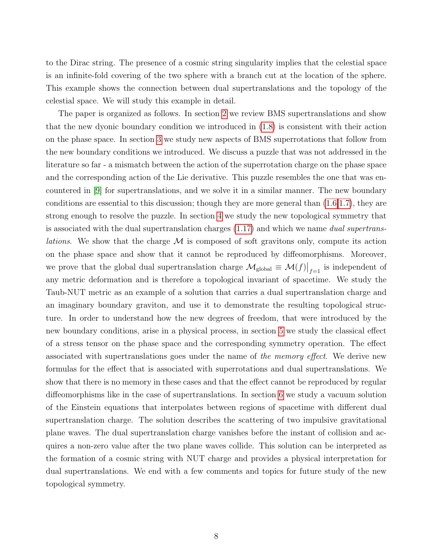to the Dirac string. The presence of a cosmic string singularity implies that the celestial space is an infinite-fold covering of the two sphere with a branch cut at the location of the sphere. This example shows the connection between dual supertranslations and the topology of the celestial space. We will study this example in detail.

The paper is organized as follows. In section [2](#page-9-0) we review BMS supertranslations and show that the new dyonic boundary condition we introduced in [\(1.8\)](#page-2-2) is consistent with their action on the phase space. In section [3](#page-11-0) we study new aspects of BMS superrotations that follow from the new boundary conditions we introduced. We discuss a puzzle that was not addressed in the literature so far - a mismatch between the action of the superrotation charge on the phase space and the corresponding action of the Lie derivative. This puzzle resembles the one that was encountered in [\[9\]](#page-37-8) for supertranslations, and we solve it in a similar manner. The new boundary conditions are essential to this discussion; though they are more general than [\(1.6](#page-2-0)[,1.7\)](#page-2-4), they are strong enough to resolve the puzzle. In section [4](#page-15-0) we study the new topological symmetry that is associated with the dual supertranslation charges  $(1.17)$  and which we name *dual supertranslations.* We show that the charge  $M$  is composed of soft gravitons only, compute its action on the phase space and show that it cannot be reproduced by diffeomorphisms. Moreover, we prove that the global dual supertranslation charge  $\mathcal{M}_{\text{global}} \equiv \mathcal{M}(f)|_{f=1}$  is independent of any metric deformation and is therefore a topological invariant of spacetime. We study the Taub-NUT metric as an example of a solution that carries a dual supertranslation charge and an imaginary boundary graviton, and use it to demonstrate the resulting topological structure. In order to understand how the new degrees of freedom, that were introduced by the new boundary conditions, arise in a physical process, in section [5](#page-21-0) we study the classical effect of a stress tensor on the phase space and the corresponding symmetry operation. The effect associated with supertranslations goes under the name of the memory effect. We derive new formulas for the effect that is associated with superrotations and dual supertranslations. We show that there is no memory in these cases and that the effect cannot be reproduced by regular diffeomorphisms like in the case of supertranslations. In section [6](#page-24-0) we study a vacuum solution of the Einstein equations that interpolates between regions of spacetime with different dual supertranslation charge. The solution describes the scattering of two impulsive gravitational plane waves. The dual supertranslation charge vanishes before the instant of collision and acquires a non-zero value after the two plane waves collide. This solution can be interpreted as the formation of a cosmic string with NUT charge and provides a physical interpretation for dual supertranslations. We end with a few comments and topics for future study of the new topological symmetry.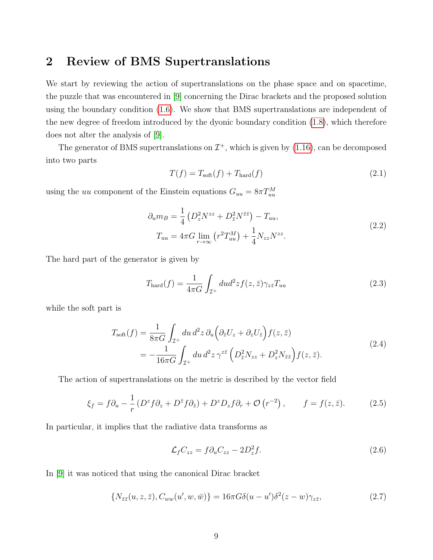# <span id="page-9-0"></span>2 Review of BMS Supertranslations

We start by reviewing the action of supertranslations on the phase space and on spacetime, the puzzle that was encountered in [\[9\]](#page-37-8) concerning the Dirac brackets and the proposed solution using the boundary condition [\(1.6\)](#page-2-0). We show that BMS supertranslations are independent of the new degree of freedom introduced by the dyonic boundary condition [\(1.8\)](#page-2-2), which therefore does not alter the analysis of [\[9\]](#page-37-8).

The generator of BMS supertranslations on  $\mathcal{I}^+$ , which is given by [\(1.16\)](#page-3-1), can be decomposed into two parts

$$
T(f) = Tsoft(f) + Thard(f)
$$
\n(2.1)

using the *uu* component of the Einstein equations  $G_{uu} = 8\pi T_{uu}^M$ 

<span id="page-9-3"></span>
$$
\partial_u m_B = \frac{1}{4} \left( D_z^2 N^{zz} + D_{\bar{z}}^2 N^{\bar{z}\bar{z}} \right) - T_{uu},
$$
  
\n
$$
T_{uu} = 4\pi G \lim_{r \to \infty} \left( r^2 T_{uu}^M \right) + \frac{1}{4} N_{zz} N^{zz}.
$$
\n(2.2)

The hard part of the generator is given by

$$
T_{\text{hard}}(f) = \frac{1}{4\pi G} \int_{\mathcal{I}^+} du d^2 z f(z, \bar{z}) \gamma_{z\bar{z}} T_{uu}
$$
\n(2.3)

while the soft part is

<span id="page-9-1"></span>
$$
T_{\text{soft}}(f) = \frac{1}{8\pi G} \int_{\mathcal{I}^+} du \, d^2 z \, \partial_u \left( \partial_{\bar{z}} U_z + \partial_z U_{\bar{z}} \right) f(z, \bar{z})
$$
  
= 
$$
-\frac{1}{16\pi G} \int_{\mathcal{I}^+} du \, d^2 z \, \gamma^{z\bar{z}} \left( D_{\bar{z}}^2 N_{zz} + D_z^2 N_{\bar{z}\bar{z}} \right) f(z, \bar{z}).
$$
 (2.4)

The action of supertranslations on the metric is described by the vector field

$$
\xi_f = f\partial_u - \frac{1}{r} \left( D^z f \partial_z + D^{\bar{z}} f \partial_{\bar{z}} \right) + D^z D_z f \partial_r + \mathcal{O}\left(r^{-2}\right), \qquad f = f(z, \bar{z}). \tag{2.5}
$$

In particular, it implies that the radiative data transforms as

$$
\mathcal{L}_f C_{zz} = f \partial_u C_{zz} - 2D_z^2 f. \tag{2.6}
$$

In [\[9\]](#page-37-8) it was noticed that using the canonical Dirac bracket

<span id="page-9-2"></span>
$$
\{N_{\bar{z}\bar{z}}(u,z,\bar{z}),C_{ww}(u',w,\bar{w})\}=16\pi G\delta(u-u')\delta^2(z-w)\gamma_{z\bar{z}},\tag{2.7}
$$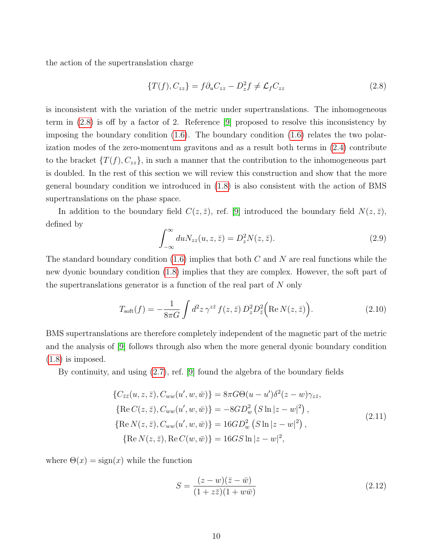the action of the supertranslation charge

<span id="page-10-0"></span>
$$
\{T(f), C_{zz}\} = f\partial_u C_{zz} - D_z^2 f \neq \mathcal{L}_f C_{zz}
$$
\n
$$
(2.8)
$$

is inconsistent with the variation of the metric under supertranslations. The inhomogeneous term in [\(2.8\)](#page-10-0) is off by a factor of 2. Reference [\[9\]](#page-37-8) proposed to resolve this inconsistency by imposing the boundary condition [\(1.6\)](#page-2-0). The boundary condition [\(1.6\)](#page-2-0) relates the two polarization modes of the zero-momentum gravitons and as a result both terms in [\(2.4\)](#page-9-1) contribute to the bracket  $\{T(f), C_{zz}\}\$ , in such a manner that the contribution to the inhomogeneous part is doubled. In the rest of this section we will review this construction and show that the more general boundary condition we introduced in [\(1.8\)](#page-2-2) is also consistent with the action of BMS supertranslations on the phase space.

In addition to the boundary field  $C(z, \bar{z})$ , ref. [\[9\]](#page-37-8) introduced the boundary field  $N(z, \bar{z})$ , defined by

$$
\int_{-\infty}^{\infty} du N_{zz}(u, z, \bar{z}) = D_z^2 N(z, \bar{z}).
$$
\n(2.9)

The standard boundary condition  $(1.6)$  implies that both C and N are real functions while the new dyonic boundary condition [\(1.8\)](#page-2-2) implies that they are complex. However, the soft part of the supertranslations generator is a function of the real part of  $N$  only

$$
T_{\text{soft}}(f) = -\frac{1}{8\pi G} \int d^2 z \,\gamma^{z\bar{z}} f(z,\bar{z}) D_z^2 D_{\bar{z}}^2 \Big( \text{Re}\, N(z,\bar{z}) \Big). \tag{2.10}
$$

BMS supertranslations are therefore completely independent of the magnetic part of the metric and the analysis of [\[9\]](#page-37-8) follows through also when the more general dyonic boundary condition [\(1.8\)](#page-2-2) is imposed.

By continuity, and using [\(2.7\)](#page-9-2), ref. [\[9\]](#page-37-8) found the algebra of the boundary fields

$$
\{C_{\bar{z}\bar{z}}(u,z,\bar{z}), C_{ww}(u',w,\bar{w})\} = 8\pi G\Theta(u-u')\delta^2(z-w)\gamma_{z\bar{z}},
$$
  
\n
$$
\{\text{Re } C(z,\bar{z}), C_{ww}(u',w,\bar{w})\} = -8GD_w^2(S\ln|z-w|^2),
$$
  
\n
$$
\{\text{Re } N(z,\bar{z}), C_{ww}(u',w,\bar{w})\} = 16GD_w^2(S\ln|z-w|^2),
$$
  
\n
$$
\{\text{Re } N(z,\bar{z}), \text{Re } C(w,\bar{w})\} = 16GS\ln|z-w|^2,
$$
\n(2.11)

where  $\Theta(x) = \text{sign}(x)$  while the function

<span id="page-10-1"></span>
$$
S = \frac{(z - w)(\bar{z} - \bar{w})}{(1 + z\bar{z})(1 + w\bar{w})}
$$
\n(2.12)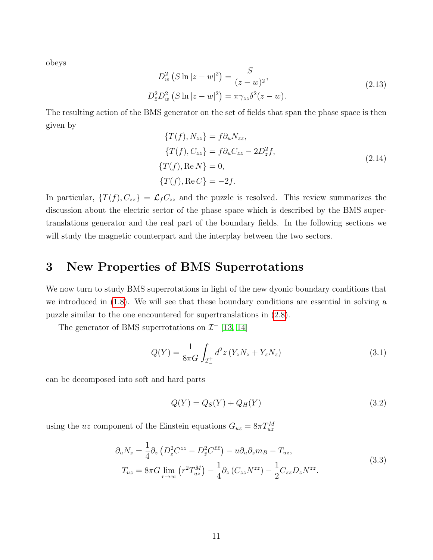obeys

$$
D_w^2 (S \ln |z - w|^2) = \frac{S}{(z - w)^2},
$$
  
\n
$$
D_{\bar{z}}^2 D_w^2 (S \ln |z - w|^2) = \pi \gamma_{z\bar{z}} \delta^2 (z - w).
$$
\n(2.13)

The resulting action of the BMS generator on the set of fields that span the phase space is then given by

$$
\begin{aligned}\n\{T(f), N_{zz}\} &= f\partial_u N_{zz}, \\
\{T(f), C_{zz}\} &= f\partial_u C_{zz} - 2D_z^2 f, \\
\{T(f), \text{Re } N\} &= 0, \\
\{T(f), \text{Re } C\} &= -2f.\n\end{aligned}
$$
\n(2.14)

In particular,  $\{T(f), C_{zz}\} = \mathcal{L}_f C_{zz}$  and the puzzle is resolved. This review summarizes the discussion about the electric sector of the phase space which is described by the BMS supertranslations generator and the real part of the boundary fields. In the following sections we will study the magnetic counterpart and the interplay between the two sectors.

# <span id="page-11-0"></span>3 New Properties of BMS Superrotations

We now turn to study BMS superrotations in light of the new dyonic boundary conditions that we introduced in [\(1.8\)](#page-2-2). We will see that these boundary conditions are essential in solving a puzzle similar to the one encountered for supertranslations in [\(2.8\)](#page-10-0).

The generator of BMS superrotations on  $\mathcal{I}^+$  [\[13,](#page-38-2) [14\]](#page-38-3)

$$
Q(Y) = \frac{1}{8\pi G} \int_{\mathcal{I}_{-}^{\pm}} d^2 z \left( Y_{\bar{z}} N_z + Y_z N_{\bar{z}} \right) \tag{3.1}
$$

can be decomposed into soft and hard parts

$$
Q(Y) = Q_S(Y) + Q_H(Y)
$$
\n
$$
(3.2)
$$

using the uz component of the Einstein equations  $G_{uz} = 8\pi T_{uz}^M$ 

<span id="page-11-1"></span>
$$
\partial_u N_z = \frac{1}{4} \partial_z \left( D_z^2 C^{zz} - D_{\bar{z}}^2 C^{\bar{z}\bar{z}} \right) - u \partial_u \partial_z m_B - T_{uz},
$$
  
\n
$$
T_{uz} = 8\pi G \lim_{r \to \infty} \left( r^2 T_{uz}^M \right) - \frac{1}{4} \partial_z \left( C_{zz} N^{zz} \right) - \frac{1}{2} C_{zz} D_z N^{zz}.
$$
\n(3.3)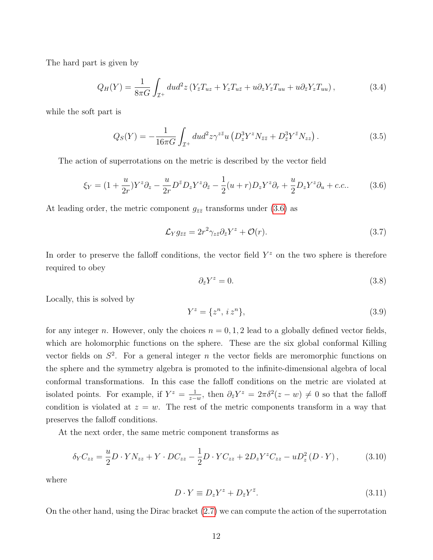The hard part is given by

$$
Q_H(Y) = \frac{1}{8\pi G} \int_{\mathcal{I}^+} du d^2 z \left( Y_{\bar{z}} T_{uz} + Y_z T_{u\bar{z}} + u \partial_z Y_{\bar{z}} T_{uu} + u \partial_{\bar{z}} Y_z T_{uu} \right), \tag{3.4}
$$

while the soft part is

<span id="page-12-1"></span>
$$
Q_S(Y) = -\frac{1}{16\pi G} \int_{\mathcal{I}^+} du d^2 z \gamma^{z\bar{z}} u \left( D_z^3 Y^z N_{\bar{z}\bar{z}} + D_{\bar{z}}^3 Y^{\bar{z}} N_{zz} \right). \tag{3.5}
$$

The action of superrotations on the metric is described by the vector field

<span id="page-12-0"></span>
$$
\xi_Y = (1 + \frac{u}{2r})Y^z \partial_z - \frac{u}{2r} D^z D_z Y^z \partial_{\bar{z}} - \frac{1}{2}(u+r)D_z Y^z \partial_r + \frac{u}{2} D_z Y^z \partial_u + c.c.. \tag{3.6}
$$

At leading order, the metric component  $g_{\bar{z}\bar{z}}$  transforms under [\(3.6\)](#page-12-0) as

$$
\mathcal{L}_Y g_{\bar{z}\bar{z}} = 2r^2 \gamma_{z\bar{z}} \partial_{\bar{z}} Y^z + \mathcal{O}(r). \tag{3.7}
$$

In order to preserve the falloff conditions, the vector field  $Y^z$  on the two sphere is therefore required to obey

$$
\partial_{\bar{z}} Y^z = 0. \tag{3.8}
$$

Locally, this is solved by

$$
Y^z = \{z^n, i\,z^n\},\tag{3.9}
$$

for any integer n. However, only the choices  $n = 0, 1, 2$  lead to a globally defined vector fields, which are holomorphic functions on the sphere. These are the six global conformal Killing vector fields on  $S^2$ . For a general integer n the vector fields are meromorphic functions on the sphere and the symmetry algebra is promoted to the infinite-dimensional algebra of local conformal transformations. In this case the falloff conditions on the metric are violated at isolated points. For example, if  $Y^z = \frac{1}{z-1}$  $\frac{1}{z-w}$ , then  $\partial_{\bar{z}} Y^z = 2\pi \delta^2(z-w) \neq 0$  so that the falloff condition is violated at  $z = w$ . The rest of the metric components transform in a way that preserves the falloff conditions.

At the next order, the same metric component transforms as

$$
\delta_Y C_{zz} = \frac{u}{2} D \cdot Y N_{zz} + Y \cdot D C_{zz} - \frac{1}{2} D \cdot Y C_{zz} + 2D_z Y^z C_{zz} - u D_z^2 (D \cdot Y) ,\qquad (3.10)
$$

where

$$
D \cdot Y \equiv D_z Y^z + D_{\bar{z}} Y^{\bar{z}}.
$$
\n(3.11)

On the other hand, using the Dirac bracket [\(2.7\)](#page-9-2) we can compute the action of the superrotation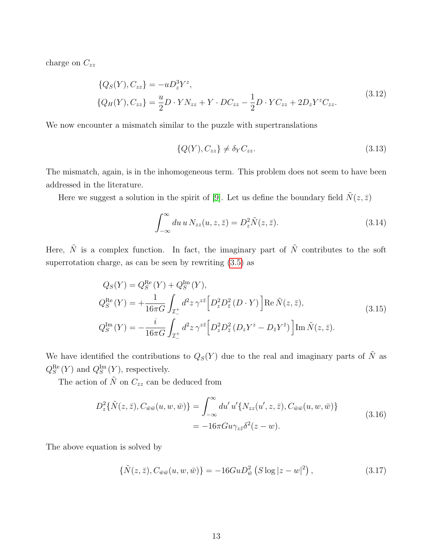charge on  $C_{zz}$ 

$$
\{Q_S(Y), C_{zz}\} = -uD_z^3 Y^z,
$$
  
\n
$$
\{Q_H(Y), C_{zz}\} = \frac{u}{2}D \cdot YN_{zz} + Y \cdot DC_{zz} - \frac{1}{2}D \cdot YC_{zz} + 2D_z Y^z C_{zz}.
$$
\n(3.12)

We now encounter a mismatch similar to the puzzle with supertranslations

<span id="page-13-1"></span>
$$
\{Q(Y), C_{zz}\} \neq \delta_Y C_{zz}.\tag{3.13}
$$

The mismatch, again, is in the inhomogeneous term. This problem does not seem to have been addressed in the literature.

Here we suggest a solution in the spirit of [\[9\]](#page-37-8). Let us define the boundary field  $\tilde{N}(z,\bar{z})$ 

$$
\int_{-\infty}^{\infty} du \, u \, N_{zz}(u, z, \bar{z}) = D_z^2 \tilde{N}(z, \bar{z}). \tag{3.14}
$$

Here,  $\tilde{N}$  is a complex function. In fact, the imaginary part of  $\tilde{N}$  contributes to the soft superrotation charge, as can be seen by rewriting [\(3.5\)](#page-12-1) as

$$
Q_S(Y) = Q_S^{\text{Re}}(Y) + Q_S^{\text{Im}}(Y),
$$
  
\n
$$
Q_S^{\text{Re}}(Y) = +\frac{1}{16\pi G} \int_{\mathcal{I}_{-}^+} d^2 z \,\gamma^{z\bar{z}} \Big[ D_z^2 D_{\bar{z}}^2 (D \cdot Y) \Big] \text{Re } \tilde{N}(z, \bar{z}),
$$
  
\n
$$
Q_S^{\text{Im}}(Y) = -\frac{i}{16\pi G} \int_{\mathcal{I}_{-}^+} d^2 z \,\gamma^{z\bar{z}} \Big[ D_z^2 D_{\bar{z}}^2 (D_z Y^z - D_{\bar{z}} Y^{\bar{z}}) \Big] \text{Im } \tilde{N}(z, \bar{z}).
$$
\n(3.15)

We have identified the contributions to  $Q_S(Y)$  due to the real and imaginary parts of  $\tilde{N}$  as  $Q_S^{\text{Re}}(Y)$  and  $Q_S^{\text{Im}}(Y)$ , respectively.

The action of  $\tilde{N}$  on  $C_{zz}$  can be deduced from

$$
D_z^2\{\tilde{N}(z,\bar{z}), C_{\bar{w}\bar{w}}(u,w,\bar{w})\} = \int_{-\infty}^{\infty} du' u' \{N_{zz}(u',z,\bar{z}), C_{\bar{w}\bar{w}}(u,w,\bar{w})\}
$$
  
=  $-16\pi G u \gamma_{z\bar{z}} \delta^2(z-w).$  (3.16)

The above equation is solved by

<span id="page-13-0"></span>
$$
\{\tilde{N}(z,\bar{z}), C_{\bar{w}\bar{w}}(u,w,\bar{w})\} = -16GuD_{\bar{w}}^2 (S \log |z-w|^2), \qquad (3.17)
$$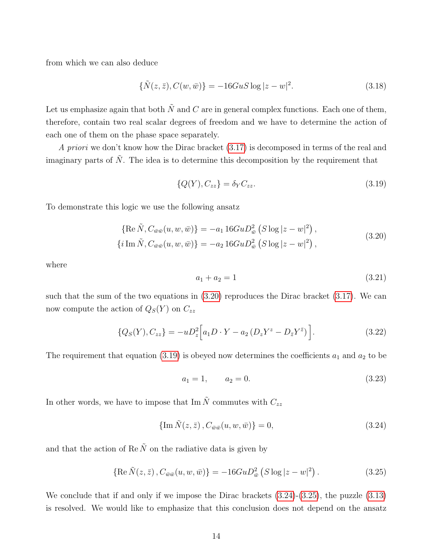from which we can also deduce

$$
\{\tilde{N}(z,\bar{z}), C(w,\bar{w})\} = -16GuS \log|z-w|^2. \tag{3.18}
$$

Let us emphasize again that both  $\tilde{N}$  and C are in general complex functions. Each one of them, therefore, contain two real scalar degrees of freedom and we have to determine the action of each one of them on the phase space separately.

A priori we don't know how the Dirac bracket [\(3.17\)](#page-13-0) is decomposed in terms of the real and imaginary parts of  $\tilde{N}$ . The idea is to determine this decomposition by the requirement that

<span id="page-14-1"></span>
$$
\{Q(Y), C_{zz}\} = \delta_Y C_{zz}.\tag{3.19}
$$

To demonstrate this logic we use the following ansatz

<span id="page-14-0"></span>
$$
\{ \text{Re } \tilde{N}, C_{\bar{w}\bar{w}}(u, w, \bar{w}) \} = -a_1 16 GuD_{\bar{w}}^2 (S \log |z - w|^2), \n\{ i \text{Im } \tilde{N}, C_{\bar{w}\bar{w}}(u, w, \bar{w}) \} = -a_2 16 GuD_{\bar{w}}^2 (S \log |z - w|^2),
$$
\n(3.20)

where

$$
a_1 + a_2 = 1 \tag{3.21}
$$

such that the sum of the two equations in  $(3.20)$  reproduces the Dirac bracket  $(3.17)$ . We can now compute the action of  $Q_S(Y)$  on  $C_{zz}$ 

$$
\{Q_S(Y), C_{zz}\} = -uD_z^2 \Big[a_1D \cdot Y - a_2 \left(D_z Y^z - D_{\bar{z}} Y^{\bar{z}}\right)\Big].
$$
\n(3.22)

The requirement that equation [\(3.19\)](#page-14-1) is obeyed now determines the coefficients  $a_1$  and  $a_2$  to be

$$
a_1 = 1, \qquad a_2 = 0. \tag{3.23}
$$

In other words, we have to impose that Im  $\tilde{N}$  commutes with  $C_{zz}$ 

<span id="page-14-2"></span>
$$
\{\operatorname{Im}\tilde{N}(z,\bar{z}), C_{\bar{w}\bar{w}}(u,w,\bar{w})\} = 0,\tag{3.24}
$$

and that the action of Re  $\tilde{N}$  on the radiative data is given by

<span id="page-14-3"></span>
$$
\{\text{Re}\,\tilde{N}(z,\bar{z}), C_{\bar{w}\bar{w}}(u,w,\bar{w})\} = -16GuD_{\bar{w}}^2\left(S\log|z-w|^2\right). \tag{3.25}
$$

We conclude that if and only if we impose the Dirac brackets  $(3.24)-(3.25)$  $(3.24)-(3.25)$  $(3.24)-(3.25)$ , the puzzle  $(3.13)$ is resolved. We would like to emphasize that this conclusion does not depend on the ansatz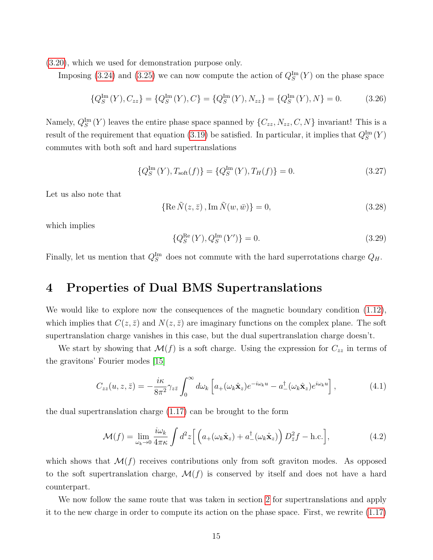[\(3.20\)](#page-14-0), which we used for demonstration purpose only.

Imposing [\(3.24\)](#page-14-2) and [\(3.25\)](#page-14-3) we can now compute the action of  $Q_S^{\text{Im}}(Y)$  on the phase space

$$
\{Q_S^{\text{Im}}(Y), C_{zz}\} = \{Q_S^{\text{Im}}(Y), C\} = \{Q_S^{\text{Im}}(Y), N_{zz}\} = \{Q_S^{\text{Im}}(Y), N\} = 0. \tag{3.26}
$$

Namely,  $Q_S^{\text{Im}}(Y)$  leaves the entire phase space spanned by  $\{C_{zz}, N_{zz}, C, N\}$  invariant! This is a result of the requirement that equation [\(3.19\)](#page-14-1) be satisfied. In particular, it implies that  $Q_S^{\text{Im}}(Y)$ commutes with both soft and hard supertranslations

$$
\{Q_S^{\text{Im}}(Y), T_{\text{soft}}(f)\} = \{Q_S^{\text{Im}}(Y), T_H(f)\} = 0.
$$
\n(3.27)

Let us also note that

$$
\{\operatorname{Re}\tilde{N}(z,\bar{z}),\operatorname{Im}\tilde{N}(w,\bar{w})\}=0,
$$
\n(3.28)

which implies

$$
\{Q_S^{\text{Re}}(Y), Q_S^{\text{Im}}(Y')\} = 0. \tag{3.29}
$$

Finally, let us mention that  $Q_S^{\text{Im}}$  does not commute with the hard superrotations charge  $Q_H$ .

### <span id="page-15-0"></span>4 Properties of Dual BMS Supertranslations

We would like to explore now the consequences of the magnetic boundary condition [\(1.12\)](#page-3-0), which implies that  $C(z, \bar{z})$  and  $N(z, \bar{z})$  are imaginary functions on the complex plane. The soft supertranslation charge vanishes in this case, but the dual supertranslation charge doesn't.

We start by showing that  $\mathcal{M}(f)$  is a soft charge. Using the expression for  $C_{zz}$  in terms of the gravitons' Fourier modes [\[15\]](#page-38-4)

$$
C_{zz}(u, z, \bar{z}) = -\frac{i\kappa}{8\pi^2} \gamma_{z\bar{z}} \int_0^\infty d\omega_k \left[ a_+(\omega_k \hat{\mathbf{x}}_z) e^{-i\omega_k u} - a_-(\omega_k \hat{\mathbf{x}}_z) e^{i\omega_k u} \right],\tag{4.1}
$$

the dual supertranslation charge [\(1.17\)](#page-5-1) can be brought to the form

$$
\mathcal{M}(f) = \lim_{\omega_k \to 0} \frac{i\omega_k}{4\pi\kappa} \int d^2 z \left[ \left( a_+(\omega_k \hat{\mathbf{x}}_z) + a_-(\omega_k \hat{\mathbf{x}}_z) \right) D_{\bar{z}}^2 f - \text{h.c.} \right],\tag{4.2}
$$

which shows that  $\mathcal{M}(f)$  receives contributions only from soft graviton modes. As opposed to the soft supertranslation charge,  $\mathcal{M}(f)$  is conserved by itself and does not have a hard counterpart.

We now follow the same route that was taken in section [2](#page-9-0) for supertranslations and apply it to the new charge in order to compute its action on the phase space. First, we rewrite [\(1.17\)](#page-5-1)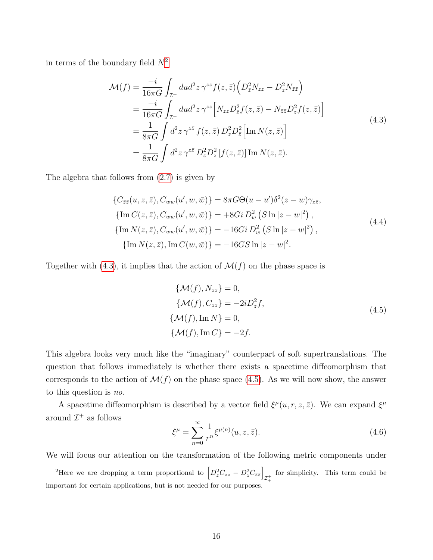in terms of the boundary field  $N^2$  $N^2$ 

<span id="page-16-1"></span>
$$
\mathcal{M}(f) = \frac{-i}{16\pi G} \int_{\mathcal{I}^+} du d^2 z \,\gamma^{z\bar{z}} f(z,\bar{z}) \Big( D_{\bar{z}}^2 N_{zz} - D_z^2 N_{\bar{z}\bar{z}} \Big)
$$
  
\n
$$
= \frac{-i}{16\pi G} \int_{\mathcal{I}^+} du d^2 z \,\gamma^{z\bar{z}} \Big[ N_{zz} D_{\bar{z}}^2 f(z,\bar{z}) - N_{\bar{z}\bar{z}} D_z^2 f(z,\bar{z}) \Big]
$$
  
\n
$$
= \frac{1}{8\pi G} \int d^2 z \,\gamma^{z\bar{z}} f(z,\bar{z}) D_z^2 D_{\bar{z}}^2 \Big[ \text{Im } N(z,\bar{z}) \Big]
$$
  
\n
$$
= \frac{1}{8\pi G} \int d^2 z \,\gamma^{z\bar{z}} D_z^2 D_{\bar{z}}^2 [f(z,\bar{z})] \text{Im } N(z,\bar{z}).
$$
\n(4.3)

The algebra that follows from [\(2.7\)](#page-9-2) is given by

$$
\{C_{\bar{z}\bar{z}}(u,z,\bar{z}), C_{ww}(u',w,\bar{w})\} = 8\pi G\Theta(u-u')\delta^2(z-w)\gamma_{z\bar{z}},
$$
  
\n
$$
\{\text{Im } C(z,\bar{z}), C_{ww}(u',w,\bar{w})\} = +8Gi D_w^2 (S \ln |z-w|^2),
$$
  
\n
$$
\{\text{Im } N(z,\bar{z}), C_{ww}(u',w,\bar{w})\} = -16Gi D_w^2 (S \ln |z-w|^2),
$$
  
\n
$$
\{\text{Im } N(z,\bar{z}), \text{Im } C(w,\bar{w})\} = -16 GS \ln |z-w|^2.
$$
\n(4.4)

Together with [\(4.3\)](#page-16-1), it implies that the action of  $\mathcal{M}(f)$  on the phase space is

<span id="page-16-2"></span>
$$
\{\mathcal{M}(f), N_{zz}\} = 0,
$$
  
\n
$$
\{\mathcal{M}(f), C_{zz}\} = -2iD_z^2 f,
$$
  
\n
$$
\{\mathcal{M}(f), \text{Im } N\} = 0,
$$
  
\n
$$
\{\mathcal{M}(f), \text{Im } C\} = -2f.
$$
\n(4.5)

This algebra looks very much like the "imaginary" counterpart of soft supertranslations. The question that follows immediately is whether there exists a spacetime diffeomorphism that corresponds to the action of  $\mathcal{M}(f)$  on the phase space [\(4.5\)](#page-16-2). As we will now show, the answer to this question is no.

A spacetime diffeomorphism is described by a vector field  $\xi^{\mu}(u, r, z, \bar{z})$ . We can expand  $\xi^{\mu}$ around  $\mathcal{I}^+$  as follows

<span id="page-16-3"></span>
$$
\xi^{\mu} = \sum_{n=0}^{\infty} \frac{1}{r^n} \xi^{\mu(n)}(u, z, \bar{z}).
$$
\n(4.6)

We will focus our attention on the transformation of the following metric components under

<span id="page-16-0"></span><sup>&</sup>lt;sup>2</sup>Here we are dropping a term proportional to  $\left[D^2_{\bar{z}}C_{zz} - D^2_{z}C_{\bar{z}\bar{z}}\right]$  $\mathcal{I}^+_+$ for simplicity. This term could be important for certain applications, but is not needed for our purposes.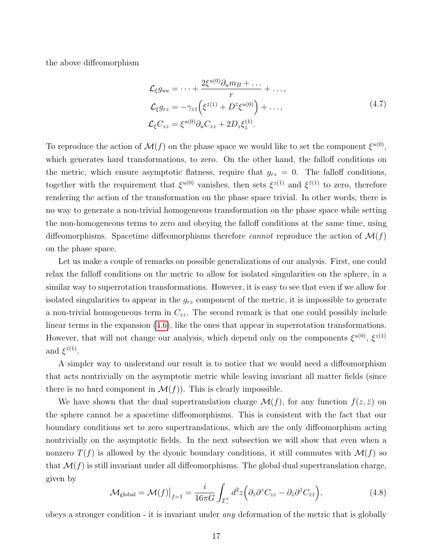the above diffeomorphism

$$
\mathcal{L}_{\xi}g_{uu} = \dots + \frac{2\xi^{u(0)}\partial_u m_B + \dots}{r} + \dots,
$$
\n
$$
\mathcal{L}_{\xi}g_{rz} = -\gamma_{z\bar{z}}\left(\xi^{\bar{z}(1)} + D^{\bar{z}}\xi^{u(0)}\right) + \dots,
$$
\n
$$
\mathcal{L}_{\xi}C_{zz} = \xi^{u(0)}\partial_u C_{zz} + 2D_z\xi_z^{(1)}.
$$
\n(4.7)

To reproduce the action of  $\mathcal{M}(f)$  on the phase space we would like to set the component  $\xi^{u(0)}$ , which generates hard transformations, to zero. On the other hand, the falloff conditions on the metric, which ensure asymptotic flatness, require that  $g_{rz} = 0$ . The falloff conditions, together with the requirement that  $\xi^{u(0)}$  vanishes, then sets  $\xi^{z(1)}$  and  $\xi^{\bar{z}(1)}$  to zero, therefore rendering the action of the transformation on the phase space trivial. In other words, there is no way to generate a non-trivial homogeneous transformation on the phase space while setting the non-homogeneous terms to zero and obeying the falloff conditions at the same time, using diffeomorphisms. Spacetime diffeomorphisms therefore *cannot* reproduce the action of  $\mathcal{M}(f)$ on the phase space.

Let us make a couple of remarks on possible generalizations of our analysis. First, one could relax the falloff conditions on the metric to allow for isolated singularities on the sphere, in a similar way to superrotation transformations. However, it is easy to see that even if we allow for isolated singularities to appear in the  $g_{rz}$  component of the metric, it is impossible to generate a non-trivial homogeneous term in  $C_{zz}$ . The second remark is that one could possibly include linear terms in the expansion [\(4.6\)](#page-16-3), like the ones that appear in superrotation transformations. However, that will not change our analysis, which depend only on the components  $\xi^{u(0)}$ ,  $\xi^{z(1)}$ and  $\xi^{\bar{z}(1)}$ .

A simpler way to understand our result is to notice that we would need a diffeomorphism that acts nontrivially on the asymptotic metric while leaving invariant all matter fields (since there is no hard component in  $\mathcal{M}(f)$ . This is clearly impossible.

We have shown that the dual supertranslation charge  $\mathcal{M}(f)$ , for any function  $f(z, \bar{z})$  on the sphere cannot be a spacetime diffeomorphisms. This is consistent with the fact that our boundary conditions set to zero supertranslations, which are the only diffeomorphism acting nontrivially on the asymptotic fields. In the next subsection we will show that even when a nonzero  $T(f)$  is allowed by the dyonic boundary conditions, it still commutes with  $\mathcal{M}(f)$  so that  $\mathcal{M}(f)$  is still invariant under all diffeomorphisms. The global dual supertranslation charge, given by

<span id="page-17-0"></span>
$$
\mathcal{M}_{\text{global}} = \mathcal{M}(f)|_{f=1} = \frac{i}{16\pi G} \int_{\mathcal{I}_{-}^{+}} d^{2}z \left( \partial_{\bar{z}} \partial^{z} C_{zz} - \partial_{z} \partial^{\bar{z}} C_{\bar{z}\bar{z}} \right), \tag{4.8}
$$

obeys a stronger condition - it is invariant under any deformation of the metric that is globally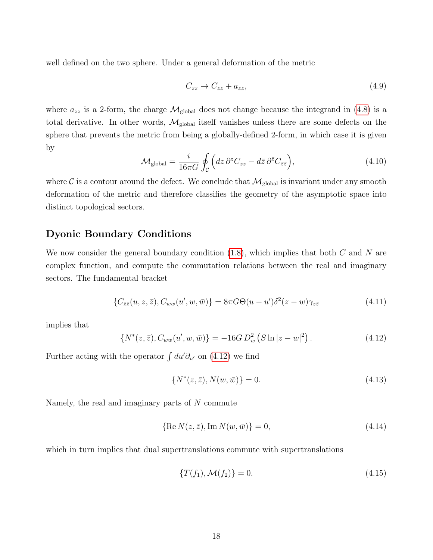well defined on the two sphere. Under a general deformation of the metric

$$
C_{zz} \to C_{zz} + a_{zz}, \tag{4.9}
$$

where  $a_{zz}$  is a 2-form, the charge  $\mathcal{M}_{\text{global}}$  does not change because the integrand in [\(4.8\)](#page-17-0) is a total derivative. In other words,  $\mathcal{M}_{\text{global}}$  itself vanishes unless there are some defects on the sphere that prevents the metric from being a globally-defined 2-form, in which case it is given by

$$
\mathcal{M}_{\text{global}} = \frac{i}{16\pi G} \oint_{\mathcal{C}} \left( dz \, \partial^z C_{zz} - d\bar{z} \, \partial^{\bar{z}} C_{\bar{z}\bar{z}} \right),\tag{4.10}
$$

where  $\mathcal C$  is a contour around the defect. We conclude that  $\mathcal M_{\rm global}$  is invariant under any smooth deformation of the metric and therefore classifies the geometry of the asymptotic space into distinct topological sectors.

#### Dyonic Boundary Conditions

We now consider the general boundary condition  $(1.8)$ , which implies that both C and N are complex function, and compute the commutation relations between the real and imaginary sectors. The fundamental bracket

$$
\{C_{\bar{z}\bar{z}}(u,z,\bar{z}), C_{ww}(u',w,\bar{w})\} = 8\pi G\Theta(u-u')\delta^2(z-w)\gamma_{z\bar{z}}
$$
(4.11)

implies that

<span id="page-18-0"></span>
$$
\{N^*(z,\bar{z}), C_{ww}(u',w,\bar{w})\} = -16G D_w^2 (S \ln |z-w|^2). \qquad (4.12)
$$

Further acting with the operator  $\int du' \partial_{u'}$  on [\(4.12\)](#page-18-0) we find

$$
\{N^*(z,\bar{z}), N(w,\bar{w})\} = 0.
$$
\n(4.13)

Namely, the real and imaginary parts of  $N$  commute

$$
\{\operatorname{Re} N(z,\bar{z}), \operatorname{Im} N(w,\bar{w})\} = 0,\tag{4.14}
$$

which in turn implies that dual supertranslations commute with supertranslations

$$
\{T(f_1), \mathcal{M}(f_2)\} = 0. \tag{4.15}
$$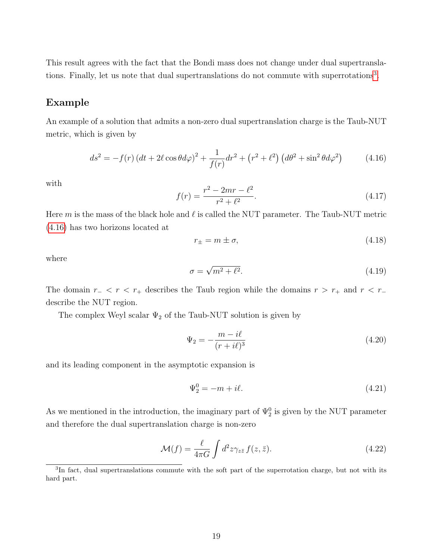This result agrees with the fact that the Bondi mass does not change under dual supertransla-tions. Finally, let us note that dual supertranslations do not commute with superrotations<sup>[3](#page-19-0)</sup>.

#### Example

An example of a solution that admits a non-zero dual supertranslation charge is the Taub-NUT metric, which is given by

<span id="page-19-1"></span>
$$
ds^{2} = -f(r) (dt + 2\ell \cos \theta d\varphi)^{2} + \frac{1}{f(r)} dr^{2} + (r^{2} + \ell^{2}) (d\theta^{2} + \sin^{2} \theta d\varphi^{2})
$$
 (4.16)

with

$$
f(r) = \frac{r^2 - 2mr - \ell^2}{r^2 + \ell^2}.
$$
\n(4.17)

Here m is the mass of the black hole and  $\ell$  is called the NUT parameter. The Taub-NUT metric [\(4.16\)](#page-19-1) has two horizons located at

$$
r_{\pm} = m \pm \sigma,\tag{4.18}
$$

where

$$
\sigma = \sqrt{m^2 + \ell^2}.\tag{4.19}
$$

The domain  $r_$  <  $r$  <  $r_+$  describes the Taub region while the domains  $r > r_+$  and  $r < r_-$ describe the NUT region.

The complex Weyl scalar  $\Psi_2$  of the Taub-NUT solution is given by

<span id="page-19-2"></span>
$$
\Psi_2 = -\frac{m - i\ell}{(r + i\ell)^3} \tag{4.20}
$$

and its leading component in the asymptotic expansion is

$$
\Psi_2^0 = -m + i\ell. \tag{4.21}
$$

As we mentioned in the introduction, the imaginary part of  $\Psi_2^0$  is given by the NUT parameter and therefore the dual supertranslation charge is non-zero

<span id="page-19-3"></span>
$$
\mathcal{M}(f) = \frac{\ell}{4\pi G} \int d^2 z \gamma_{z\bar{z}} f(z, \bar{z}). \tag{4.22}
$$

<span id="page-19-0"></span><sup>&</sup>lt;sup>3</sup>In fact, dual supertranslations commute with the soft part of the superrotation charge, but not with its hard part.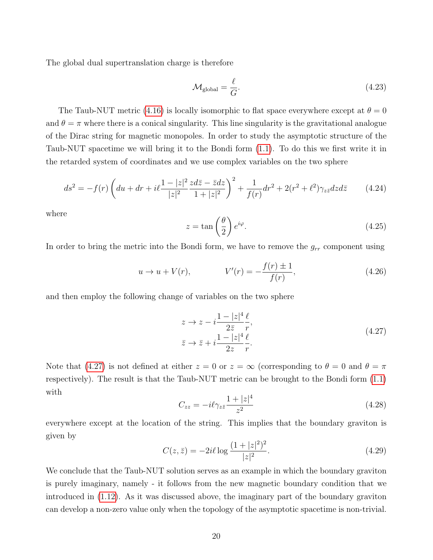The global dual supertranslation charge is therefore

$$
\mathcal{M}_{\text{global}} = \frac{\ell}{G}.\tag{4.23}
$$

The Taub-NUT metric [\(4.16\)](#page-19-1) is locally isomorphic to flat space everywhere except at  $\theta = 0$ and  $\theta = \pi$  where there is a conical singularity. This line singularity is the gravitational analogue of the Dirac string for magnetic monopoles. In order to study the asymptotic structure of the Taub-NUT spacetime we will bring it to the Bondi form [\(1.1\)](#page-1-0). To do this we first write it in the retarded system of coordinates and we use complex variables on the two sphere

$$
ds^{2} = -f(r)\left(du + dr + i\ell \frac{1 - |z|^{2}}{|z|^{2}} \frac{z d\bar{z} - \bar{z} dz}{1 + |z|^{2}}\right)^{2} + \frac{1}{f(r)}dr^{2} + 2(r^{2} + \ell^{2})\gamma_{z\bar{z}}dzd\bar{z}
$$
(4.24)

where

$$
z = \tan\left(\frac{\theta}{2}\right)e^{i\varphi}.\tag{4.25}
$$

In order to bring the metric into the Bondi form, we have to remove the  $g_{rr}$  component using

<span id="page-20-1"></span>
$$
u \to u + V(r), \qquad V'(r) = -\frac{f(r) \pm 1}{f(r)}, \qquad (4.26)
$$

and then employ the following change of variables on the two sphere

<span id="page-20-0"></span>
$$
z \to z - i \frac{1 - |z|^4 \ell}{2\overline{z} r},
$$
  
\n
$$
\overline{z} \to \overline{z} + i \frac{1 - |z|^4 \ell}{2z r}.
$$
\n(4.27)

Note that [\(4.27\)](#page-20-0) is not defined at either  $z = 0$  or  $z = \infty$  (corresponding to  $\theta = 0$  and  $\theta = \pi$ respectively). The result is that the Taub-NUT metric can be brought to the Bondi form [\(1.1\)](#page-1-0) with

$$
C_{zz} = -i\ell \gamma_{z\bar{z}} \frac{1 + |z|^4}{z^2} \tag{4.28}
$$

everywhere except at the location of the string. This implies that the boundary graviton is given by

$$
C(z,\bar{z}) = -2i\ell \log \frac{(1+|z|^2)^2}{|z|^2}.
$$
\n(4.29)

We conclude that the Taub-NUT solution serves as an example in which the boundary graviton is purely imaginary, namely - it follows from the new magnetic boundary condition that we introduced in [\(1.12\)](#page-3-0). As it was discussed above, the imaginary part of the boundary graviton can develop a non-zero value only when the topology of the asymptotic spacetime is non-trivial.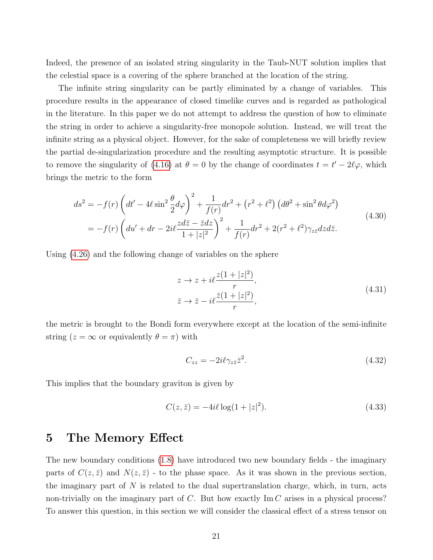Indeed, the presence of an isolated string singularity in the Taub-NUT solution implies that the celestial space is a covering of the sphere branched at the location of the string.

The infinite string singularity can be partly eliminated by a change of variables. This procedure results in the appearance of closed timelike curves and is regarded as pathological in the literature. In this paper we do not attempt to address the question of how to eliminate the string in order to achieve a singularity-free monopole solution. Instead, we will treat the infinite string as a physical object. However, for the sake of completeness we will briefly review the partial de-singularization procedure and the resulting asymptotic structure. It is possible to remove the singularity of [\(4.16\)](#page-19-1) at  $\theta = 0$  by the change of coordinates  $t = t' - 2\ell\varphi$ , which brings the metric to the form

$$
ds^{2} = -f(r)\left(dt' - 4\ell\sin^{2}\frac{\theta}{2}d\varphi\right)^{2} + \frac{1}{f(r)}dr^{2} + (r^{2} + \ell^{2})\left(d\theta^{2} + \sin^{2}\theta d\varphi^{2}\right)
$$
  
=  $-f(r)\left(du' + dr - 2i\ell\frac{zd\bar{z} - \bar{z}dz}{1 + |z|^{2}}\right)^{2} + \frac{1}{f(r)}dr^{2} + 2(r^{2} + \ell^{2})\gamma_{z\bar{z}}dzd\bar{z}.$  (4.30)

Using [\(4.26\)](#page-20-1) and the following change of variables on the sphere

$$
z \to z + i\ell \frac{z(1+|z|^2)}{r},
$$
  
\n
$$
\bar{z} \to \bar{z} - i\ell \frac{\bar{z}(1+|z|^2)}{r},
$$
\n(4.31)

the metric is brought to the Bondi form everywhere except at the location of the semi-infinite string  $(z = \infty$  or equivalently  $\theta = \pi$ ) with

$$
C_{zz} = -2i\ell\gamma_{z\bar{z}}\bar{z}^2. \tag{4.32}
$$

This implies that the boundary graviton is given by

<span id="page-21-1"></span>
$$
C(z, \bar{z}) = -4i\ell \log(1 + |z|^2). \tag{4.33}
$$

### <span id="page-21-0"></span>5 The Memory Effect

The new boundary conditions [\(1.8\)](#page-2-2) have introduced two new boundary fields - the imaginary parts of  $C(z, \bar{z})$  and  $N(z, \bar{z})$  - to the phase space. As it was shown in the previous section, the imaginary part of  $N$  is related to the dual supertranslation charge, which, in turn, acts non-trivially on the imaginary part of  $C$ . But how exactly Im  $C$  arises in a physical process? To answer this question, in this section we will consider the classical effect of a stress tensor on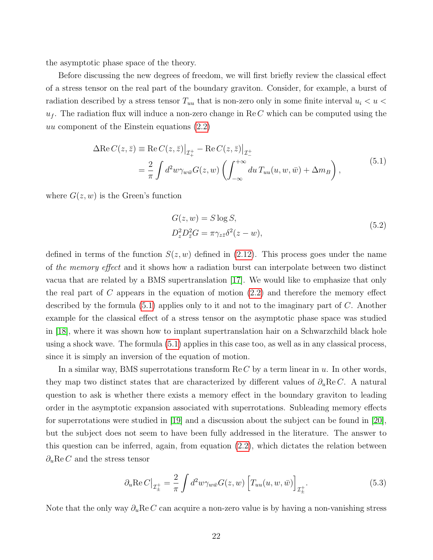the asymptotic phase space of the theory.

Before discussing the new degrees of freedom, we will first briefly review the classical effect of a stress tensor on the real part of the boundary graviton. Consider, for example, a burst of radiation described by a stress tensor  $T_{uu}$  that is non-zero only in some finite interval  $u_i < u <$  $u_f$ . The radiation flux will induce a non-zero change in Re C which can be computed using the uu component of the Einstein equations [\(2.2\)](#page-9-3)

<span id="page-22-0"></span>
$$
\Delta \text{Re}\, C(z,\bar{z}) \equiv \text{Re}\, C(z,\bar{z})\big|_{\mathcal{I}_{+}^{+}} - \text{Re}\, C(z,\bar{z})\big|_{\mathcal{I}_{-}^{+}} \n= \frac{2}{\pi} \int d^{2}w \gamma_{w\bar{w}} G(z,w) \left( \int_{-\infty}^{+\infty} du \, T_{uu}(u,w,\bar{w}) + \Delta m_{B} \right),
$$
\n(5.1)

where  $G(z, w)$  is the Green's function

$$
G(z, w) = S \log S,
$$
  
\n
$$
D_z^2 D_{\overline{z}}^2 G = \pi \gamma_{z\overline{z}} \delta^2 (z - w),
$$
\n(5.2)

defined in terms of the function  $S(z, w)$  defined in [\(2.12\)](#page-10-1). This process goes under the name of the memory effect and it shows how a radiation burst can interpolate between two distinct vacua that are related by a BMS supertranslation [\[17\]](#page-38-5). We would like to emphasize that only the real part of C appears in the equation of motion  $(2.2)$  and therefore the memory effect described by the formula  $(5.1)$  applies only to it and not to the imaginary part of C. Another example for the classical effect of a stress tensor on the asymptotic phase space was studied in [\[18\]](#page-38-6), where it was shown how to implant supertranslation hair on a Schwarzchild black hole using a shock wave. The formula [\(5.1\)](#page-22-0) applies in this case too, as well as in any classical process, since it is simply an inversion of the equation of motion.

In a similar way, BMS superrotations transform  $\text{Re } C$  by a term linear in u. In other words, they map two distinct states that are characterized by different values of  $\partial_u \text{Re } C$ . A natural question to ask is whether there exists a memory effect in the boundary graviton to leading order in the asymptotic expansion associated with superrotations. Subleading memory effects for superrotations were studied in [\[19\]](#page-38-7) and a discussion about the subject can be found in [\[20\]](#page-38-8), but the subject does not seem to have been fully addressed in the literature. The answer to this question can be inferred, again, from equation [\(2.2\)](#page-9-3), which dictates the relation between  $\partial_u \text{Re } C$  and the stress tensor

<span id="page-22-1"></span>
$$
\partial_u \operatorname{Re} C \big|_{\mathcal{I}^+_\pm} = \frac{2}{\pi} \int d^2 w \gamma_{w\bar{w}} G(z, w) \left[ T_{uu}(u, w, \bar{w}) \right]_{\mathcal{I}^+_\pm} . \tag{5.3}
$$

Note that the only way  $\partial_u \text{Re } C$  can acquire a non-zero value is by having a non-vanishing stress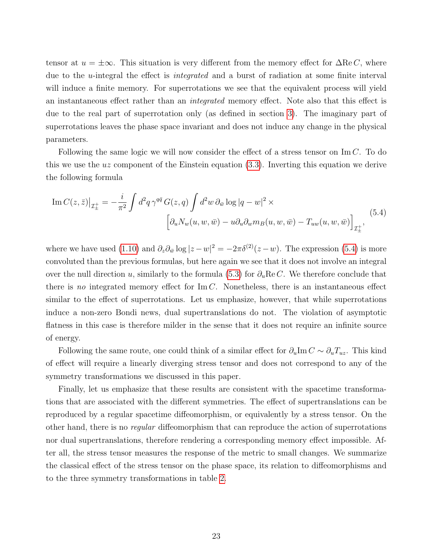tensor at  $u = \pm \infty$ . This situation is very different from the memory effect for  $\Delta \text{Re } C$ , where due to the *u*-integral the effect is *integrated* and a burst of radiation at some finite interval will induce a finite memory. For superrotations we see that the equivalent process will yield an instantaneous effect rather than an *integrated* memory effect. Note also that this effect is due to the real part of superrotation only (as defined in section [3\)](#page-11-0). The imaginary part of superrotations leaves the phase space invariant and does not induce any change in the physical parameters.

Following the same logic we will now consider the effect of a stress tensor on Im C. To do this we use the  $uz$  component of the Einstein equation  $(3.3)$ . Inverting this equation we derive the following formula

<span id="page-23-0"></span>
$$
\operatorname{Im} C(z,\bar{z})\big|_{\mathcal{I}^{\pm}_{\pm}} = -\frac{i}{\pi^2} \int d^2q \,\gamma^{q\bar{q}} G(z,q) \int d^2w \,\partial_{\bar{w}} \log|q-w|^2 \times \left[ \partial_u N_w(u,w,\bar{w}) - u \partial_u \partial_w m_B(u,w,\bar{w}) - T_{uw}(u,w,\bar{w}) \right]_{\mathcal{I}^{\pm}_{\pm}},\tag{5.4}
$$

where we have used [\(1.10\)](#page-2-3) and  $\partial_z\partial_{\bar{w}}\log|z-w|^2 = -2\pi\delta^{(2)}(z-w)$ . The expression [\(5.4\)](#page-23-0) is more convoluted than the previous formulas, but here again we see that it does not involve an integral over the null direction u, similarly to the formula [\(5.3\)](#page-22-1) for  $\partial_u \text{Re } C$ . We therefore conclude that there is no integrated memory effect for  $\text{Im } C$ . Nonetheless, there is an instantaneous effect similar to the effect of superrotations. Let us emphasize, however, that while superrotations induce a non-zero Bondi news, dual supertranslations do not. The violation of asymptotic flatness in this case is therefore milder in the sense that it does not require an infinite source of energy.

Following the same route, one could think of a similar effect for  $\partial_u \text{Im } C \sim \partial_u T_{uz}$ . This kind of effect will require a linearly diverging stress tensor and does not correspond to any of the symmetry transformations we discussed in this paper.

Finally, let us emphasize that these results are consistent with the spacetime transformations that are associated with the different symmetries. The effect of supertranslations can be reproduced by a regular spacetime diffeomorphism, or equivalently by a stress tensor. On the other hand, there is no regular diffeomorphism that can reproduce the action of superrotations nor dual supertranslations, therefore rendering a corresponding memory effect impossible. After all, the stress tensor measures the response of the metric to small changes. We summarize the classical effect of the stress tensor on the phase space, its relation to diffeomorphisms and to the three symmetry transformations in table [2.](#page-24-1)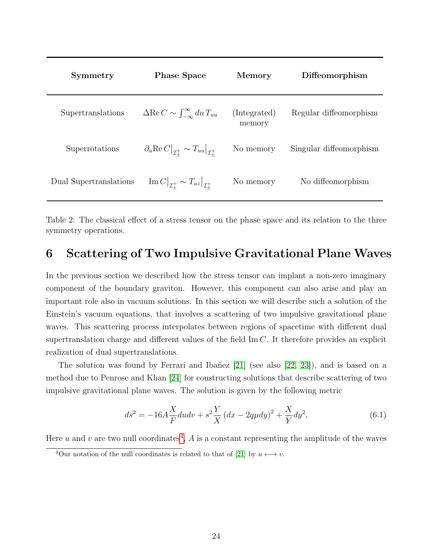| Symmetry               | <b>Phase Space</b>                                                                   | Memory                 | Diffeomorphism          |
|------------------------|--------------------------------------------------------------------------------------|------------------------|-------------------------|
| Supertranslations      | $\Delta$ Re $C \sim \int_{-\infty}^{\infty} du T_{uu}$                               | (Integrated)<br>memory | Regular diffeomorphism  |
| Superrotations         | $\partial_u \text{Re}\, C\big _{\mathcal{I}^+_+} \sim T_{uu}\big _{\mathcal{I}^+_+}$ | No memory              | Singular diffeomorphism |
| Dual Supertranslations | $\left.\operatorname{Im}C\right _{\mathcal{I}^+}\sim T_{uz}\right _{\mathcal{I}^+}$  | No memory              | No diffeomorphism       |

<span id="page-24-1"></span>Table 2: The classical effect of a stress tensor on the phase space and its relation to the three symmetry operations.

# <span id="page-24-0"></span>6 Scattering of Two Impulsive Gravitational Plane Waves

In the previous section we described how the stress tensor can implant a non-zero imaginary component of the boundary graviton. However, this component can also arise and play an important role also in vacuum solutions. In this section we will describe such a solution of the Einstein's vacuum equations, that involves a scattering of two impulsive gravitational plane waves. This scattering process interpolates between regions of spacetime with different dual supertranslation charge and different values of the field Im C. It therefore provides an explicit realization of dual supertranslations.

The solution was found by Ferrari and Ibañez  $[21]$  (see also  $[22, 23]$  $[22, 23]$ ), and is based on a method due to Penrose and Khan [\[24\]](#page-39-0) for constructing solutions that describe scattering of two impulsive gravitational plane waves. The solution is given by the following metric

<span id="page-24-3"></span>
$$
ds^{2} = -16A\frac{X}{F}dudv + s^{2}\frac{Y}{X}(dx - 2q\mu dy)^{2} + \frac{X}{Y}dy^{2}.
$$
 (6.1)

Here u and v are two null coordinates<sup>[4](#page-24-2)</sup>, A is a constant representing the amplitude of the waves

<span id="page-24-2"></span><sup>&</sup>lt;sup>4</sup>Our notation of the null coordinates is related to that of [\[21\]](#page-38-9) by  $u \leftrightarrow v$ .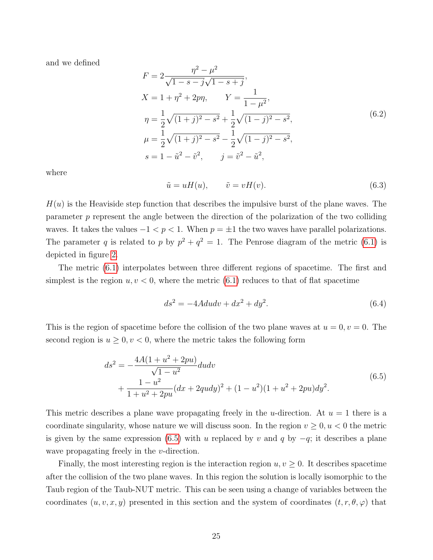and we defined

$$
F = 2 \frac{\eta^2 - \mu^2}{\sqrt{1 - s - j}\sqrt{1 - s + j}},
$$
  
\n
$$
X = 1 + \eta^2 + 2p\eta, \qquad Y = \frac{1}{1 - \mu^2},
$$
  
\n
$$
\eta = \frac{1}{2}\sqrt{(1 + j)^2 - s^2} + \frac{1}{2}\sqrt{(1 - j)^2 - s^2},
$$
  
\n
$$
\mu = \frac{1}{2}\sqrt{(1 + j)^2 - s^2} - \frac{1}{2}\sqrt{(1 - j)^2 - s^2},
$$
  
\n
$$
s = 1 - \tilde{u}^2 - \tilde{v}^2, \qquad j = \tilde{v}^2 - \tilde{u}^2,
$$
\n(6.2)

where

$$
\tilde{u} = uH(u), \qquad \tilde{v} = vH(v). \tag{6.3}
$$

 $H(u)$  is the Heaviside step function that describes the impulsive burst of the plane waves. The parameter p represent the angle between the direction of the polarization of the two colliding waves. It takes the values  $-1 < p < 1$ . When  $p = \pm 1$  the two waves have parallel polarizations. The parameter q is related to p by  $p^2 + q^2 = 1$ . The Penrose diagram of the metric [\(6.1\)](#page-24-3) is depicted in figure [2.](#page-26-0)

The metric [\(6.1\)](#page-24-3) interpolates between three different regions of spacetime. The first and simplest is the region  $u, v < 0$ , where the metric  $(6.1)$  reduces to that of flat spacetime

$$
ds^2 = -4A du dv + dx^2 + dy^2.
$$
 (6.4)

This is the region of spacetime before the collision of the two plane waves at  $u = 0, v = 0$ . The second region is  $u \geq 0, v < 0$ , where the metric takes the following form

<span id="page-25-0"></span>
$$
ds^{2} = -\frac{4A(1+u^{2}+2pu)}{\sqrt{1-u^{2}}}dudv
$$
  
+ 
$$
\frac{1-u^{2}}{1+u^{2}+2pu}(dx+2qudy)^{2} + (1-u^{2})(1+u^{2}+2pu)dy^{2}.
$$
 (6.5)

This metric describes a plane wave propagating freely in the u-direction. At  $u = 1$  there is a coordinate singularity, whose nature we will discuss soon. In the region  $v \geq 0, u < 0$  the metric is given by the same expression [\(6.5\)](#page-25-0) with u replaced by v and q by  $-q$ ; it describes a plane wave propagating freely in the *v*-direction.

Finally, the most interesting region is the interaction region  $u, v \geq 0$ . It describes spacetime after the collision of the two plane waves. In this region the solution is locally isomorphic to the Taub region of the Taub-NUT metric. This can be seen using a change of variables between the coordinates  $(u, v, x, y)$  presented in this section and the system of coordinates  $(t, r, \theta, \varphi)$  that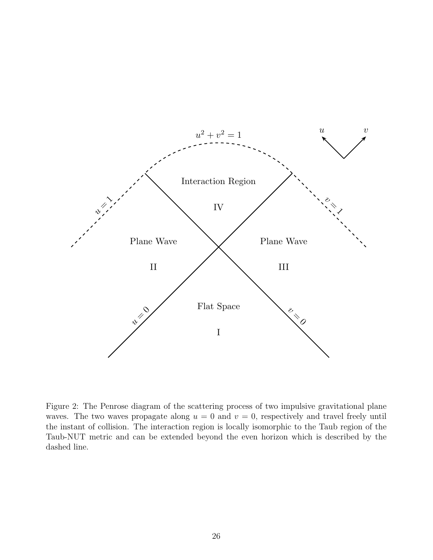

<span id="page-26-0"></span>Figure 2: The Penrose diagram of the scattering process of two impulsive gravitational plane waves. The two waves propagate along  $u = 0$  and  $v = 0$ , respectively and travel freely until the instant of collision. The interaction region is locally isomorphic to the Taub region of the Taub-NUT metric and can be extended beyond the even horizon which is described by the dashed line.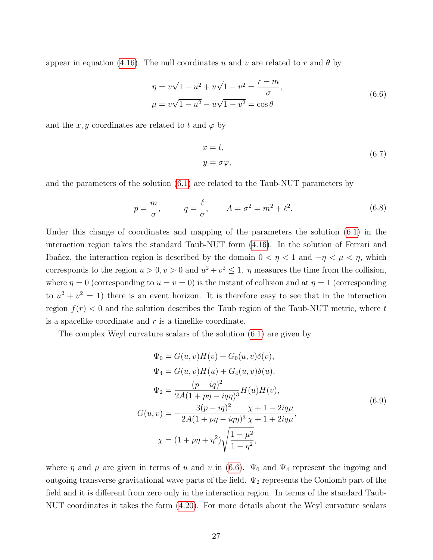appear in equation [\(4.16\)](#page-19-1). The null coordinates u and v are related to r and  $\theta$  by

<span id="page-27-0"></span>
$$
\eta = v\sqrt{1 - u^2} + u\sqrt{1 - v^2} = \frac{r - m}{\sigma},
$$
  
\n
$$
\mu = v\sqrt{1 - u^2} - u\sqrt{1 - v^2} = \cos\theta
$$
\n(6.6)

and the x, y coordinates are related to t and  $\varphi$  by

$$
x = t,
$$
  
\n
$$
y = \sigma \varphi,
$$
\n(6.7)

and the parameters of the solution [\(6.1\)](#page-24-3) are related to the Taub-NUT parameters by

$$
p = \frac{m}{\sigma}, \qquad q = \frac{\ell}{\sigma}, \qquad A = \sigma^2 = m^2 + \ell^2. \tag{6.8}
$$

Under this change of coordinates and mapping of the parameters the solution [\(6.1\)](#page-24-3) in the interaction region takes the standard Taub-NUT form [\(4.16\)](#page-19-1). In the solution of Ferrari and Ibañez, the interaction region is described by the domain  $0 < \eta < 1$  and  $-\eta < \mu < \eta$ , which corresponds to the region  $u > 0, v > 0$  and  $u^2 + v^2 \leq 1$ .  $\eta$  measures the time from the collision, where  $\eta = 0$  (corresponding to  $u = v = 0$ ) is the instant of collision and at  $\eta = 1$  (corresponding to  $u^2 + v^2 = 1$ ) there is an event horizon. It is therefore easy to see that in the interaction region  $f(r) < 0$  and the solution describes the Taub region of the Taub-NUT metric, where t is a spacelike coordinate and  $r$  is a timelike coordinate.

The complex Weyl curvature scalars of the solution [\(6.1\)](#page-24-3) are given by

$$
\Psi_0 = G(u, v)H(v) + G_0(u, v)\delta(v),
$$
  
\n
$$
\Psi_4 = G(u, v)H(u) + G_4(u, v)\delta(u),
$$
  
\n
$$
\Psi_2 = \frac{(p - iq)^2}{2A(1 + p\eta - iq\eta)^3}H(u)H(v),
$$
  
\n
$$
G(u, v) = -\frac{3(p - iq)^2}{2A(1 + p\eta - iq\eta)^3}\frac{\chi + 1 - 2iq\mu}{\chi + 1 + 2iq\mu},
$$
  
\n
$$
\chi = (1 + p\eta + \eta^2)\sqrt{\frac{1 - \mu^2}{1 - \eta^2}},
$$
\n(6.9)

where  $\eta$  and  $\mu$  are given in terms of u and v in [\(6.6\)](#page-27-0).  $\Psi_0$  and  $\Psi_4$  represent the ingoing and outgoing transverse gravitational wave parts of the field.  $\Psi_2$  represents the Coulomb part of the field and it is different from zero only in the interaction region. In terms of the standard Taub-NUT coordinates it takes the form [\(4.20\)](#page-19-2). For more details about the Weyl curvature scalars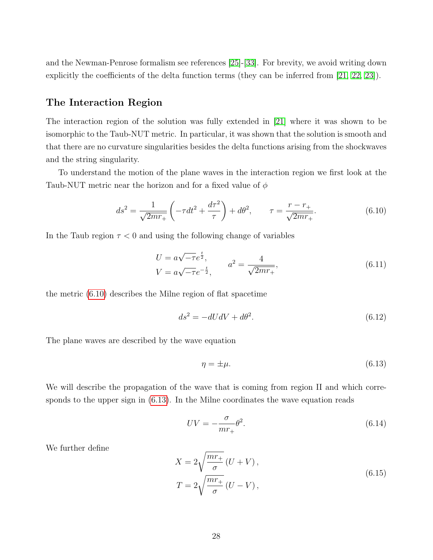and the Newman-Penrose formalism see references [\[25\]](#page-39-1)-[\[33\]](#page-39-2). For brevity, we avoid writing down explicitly the coefficients of the delta function terms (they can be inferred from [\[21,](#page-38-9) [22,](#page-38-10) [23\]](#page-38-11)).

#### The Interaction Region

The interaction region of the solution was fully extended in [\[21\]](#page-38-9) where it was shown to be isomorphic to the Taub-NUT metric. In particular, it was shown that the solution is smooth and that there are no curvature singularities besides the delta functions arising from the shockwaves and the string singularity.

To understand the motion of the plane waves in the interaction region we first look at the Taub-NUT metric near the horizon and for a fixed value of  $\phi$ 

<span id="page-28-0"></span>
$$
ds^{2} = \frac{1}{\sqrt{2mr_{+}}} \left( -\tau dt^{2} + \frac{d\tau^{2}}{\tau} \right) + d\theta^{2}, \qquad \tau = \frac{r - r_{+}}{\sqrt{2mr_{+}}}.
$$
 (6.10)

In the Taub region  $\tau < 0$  and using the following change of variables

$$
U = a\sqrt{-\tau}e^{\frac{t}{2}}, \qquad a^2 = \frac{4}{\sqrt{2mr_+}},
$$
(6.11)

the metric [\(6.10\)](#page-28-0) describes the Milne region of flat spacetime

$$
ds^2 = -dUdV + d\theta^2. \tag{6.12}
$$

The plane waves are described by the wave equation

<span id="page-28-1"></span>
$$
\eta = \pm \mu. \tag{6.13}
$$

We will describe the propagation of the wave that is coming from region II and which corresponds to the upper sign in [\(6.13\)](#page-28-1). In the Milne coordinates the wave equation reads

$$
UV = -\frac{\sigma}{mr_+} \theta^2. \tag{6.14}
$$

We further define

$$
X = 2\sqrt{\frac{mr_{+}}{\sigma}} (U + V),
$$
  
\n
$$
T = 2\sqrt{\frac{mr_{+}}{\sigma}} (U - V),
$$
\n(6.15)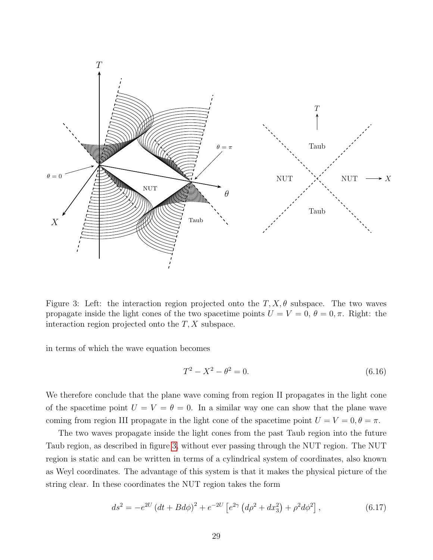

<span id="page-29-0"></span>Figure 3: Left: the interaction region projected onto the  $T, X, \theta$  subspace. The two waves propagate inside the light cones of the two spacetime points  $U = V = 0, \theta = 0, \pi$ . Right: the interaction region projected onto the  $T, X$  subspace.

in terms of which the wave equation becomes

$$
T^2 - X^2 - \theta^2 = 0.
$$
\n(6.16)

We therefore conclude that the plane wave coming from region II propagates in the light cone of the spacetime point  $U = V = \theta = 0$ . In a similar way one can show that the plane wave coming from region III propagate in the light cone of the spacetime point  $U = V = 0, \theta = \pi$ .

The two waves propagate inside the light cones from the past Taub region into the future Taub region, as described in figure [3,](#page-29-0) without ever passing through the NUT region. The NUT region is static and can be written in terms of a cylindrical system of coordinates, also known as Weyl coordinates. The advantage of this system is that it makes the physical picture of the string clear. In these coordinates the NUT region takes the form

<span id="page-29-1"></span>
$$
ds^{2} = -e^{2U} \left(dt + Bd\phi\right)^{2} + e^{-2U} \left[e^{2\gamma} \left(d\rho^{2} + dx_{3}^{2}\right) + \rho^{2} d\phi^{2}\right],
$$
\n(6.17)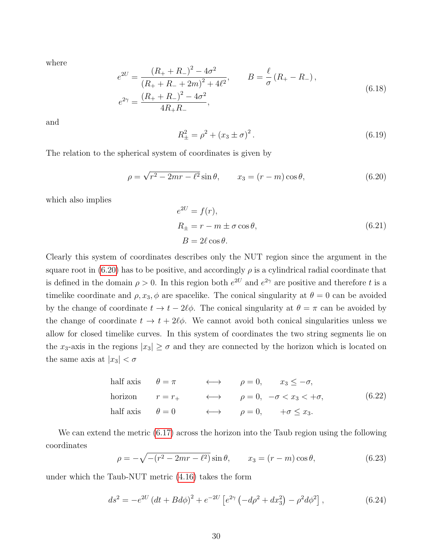where

$$
e^{2U} = \frac{(R_{+} + R_{-})^{2} - 4\sigma^{2}}{(R_{+} + R_{-} + 2m)^{2} + 4\ell^{2}}, \qquad B = \frac{\ell}{\sigma} (R_{+} - R_{-}),
$$
  
\n
$$
e^{2\gamma} = \frac{(R_{+} + R_{-})^{2} - 4\sigma^{2}}{4R_{+}R_{-}},
$$
\n(6.18)

and

$$
R_{\pm}^{2} = \rho^{2} + (x_{3} \pm \sigma)^{2}.
$$
 (6.19)

The relation to the spherical system of coordinates is given by

<span id="page-30-0"></span>
$$
\rho = \sqrt{r^2 - 2mr - \ell^2} \sin \theta, \qquad x_3 = (r - m)\cos \theta,\tag{6.20}
$$

which also implies

<span id="page-30-1"></span>
$$
e^{2U} = f(r),
$$
  
\n
$$
R_{\pm} = r - m \pm \sigma \cos \theta,
$$
  
\n
$$
B = 2\ell \cos \theta.
$$
\n(6.21)

Clearly this system of coordinates describes only the NUT region since the argument in the square root in [\(6.20\)](#page-30-0) has to be positive, and accordingly  $\rho$  is a cylindrical radial coordinate that is defined in the domain  $\rho > 0$ . In this region both  $e^{2U}$  and  $e^{2\gamma}$  are positive and therefore t is a timelike coordinate and  $\rho$ ,  $x_3$ ,  $\phi$  are spacelike. The conical singularity at  $\theta = 0$  can be avoided by the change of coordinate  $t \to t - 2\ell\phi$ . The conical singularity at  $\theta = \pi$  can be avoided by the change of coordinate  $t \to t + 2\ell\phi$ . We cannot avoid both conical singularities unless we allow for closed timelike curves. In this system of coordinates the two string segments lie on the x<sub>3</sub>-axis in the regions  $|x_3| \ge \sigma$  and they are connected by the horizon which is located on the same axis at  $|x_3| < \sigma$ 

half axis 
$$
\theta = \pi
$$
  $\longleftrightarrow$   $\rho = 0$ ,  $x_3 \le -\sigma$ ,  
horizon  $r = r_+$   $\longleftrightarrow$   $\rho = 0$ ,  $-\sigma < x_3 < +\sigma$ ,  $(6.22)$   
half axis  $\theta = 0$   $\longleftrightarrow$   $\rho = 0$ ,  $+\sigma \le x_3$ .

We can extend the metric [\(6.17\)](#page-29-1) across the horizon into the Taub region using the following coordinates

$$
\rho = -\sqrt{-(r^2 - 2mr - \ell^2)}\sin\theta, \qquad x_3 = (r - m)\cos\theta,\tag{6.23}
$$

under which the Taub-NUT metric [\(4.16\)](#page-19-1) takes the form

<span id="page-30-2"></span>
$$
ds^{2} = -e^{2U} \left(dt + Bd\phi\right)^{2} + e^{-2U} \left[e^{2\gamma} \left(-d\rho^{2} + dx_{3}^{2}\right) - \rho^{2} d\phi^{2}\right],
$$
\n(6.24)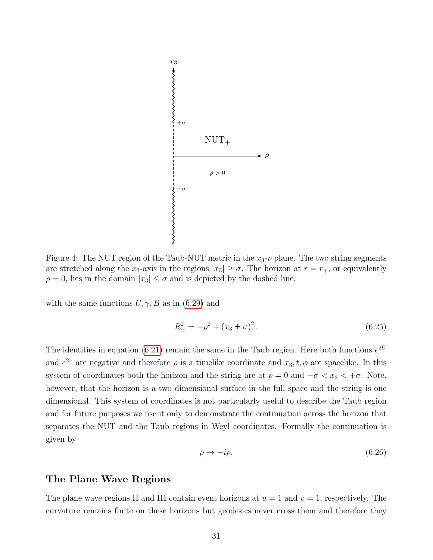

Figure 4: The NUT region of the Taub-NUT metric in the  $x_3$ - $\rho$  plane. The two string segments are stretched along the  $x_3$ -axis in the regions  $|x_3| \geq \sigma$ . The horizon at  $r = r_+$ , or equivalently  $\rho = 0$ , lies in the domain  $|x_3| \leq \sigma$  and is depicted by the dashed line.

with the same functions  $U, \gamma, B$  as in [\(6.29\)](#page-32-0) and

$$
R_{\pm}^{2} = -\rho^{2} + (x_{3} \pm \sigma)^{2}.
$$
 (6.25)

The identities in equation [\(6.21\)](#page-30-1) remain the same in the Taub region. Here both functions  $e^{2U}$ and  $e^{2\gamma}$  are negative and therefore  $\rho$  is a timelike coordinate and  $x_3, t, \phi$  are spacelike. In this system of coordinates both the horizon and the string are at  $\rho = 0$  and  $-\sigma < x_3 < +\sigma$ . Note, however, that the horizon is a two dimensional surface in the full space and the string is one dimensional. This system of coordinates is not particularly useful to describe the Taub region and for future purposes we use it only to demonstrate the continuation across the horizon that separates the NUT and the Taub regions in Weyl coordinates. Formally the continuation is given by

$$
\rho \to -i\rho. \tag{6.26}
$$

#### The Plane Wave Regions

The plane wave regions II and III contain event horizons at  $u = 1$  and  $v = 1$ , respectively. The curvature remains finite on these horizons but geodesics never cross them and therefore they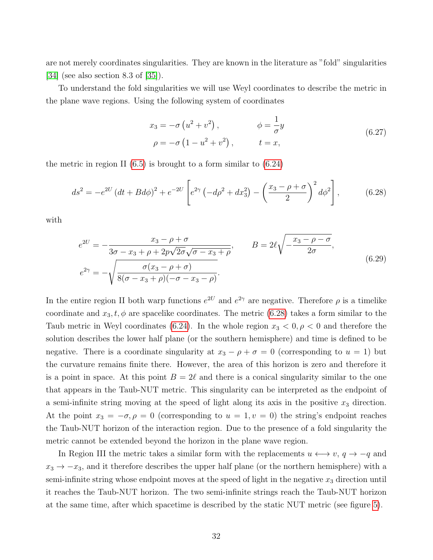are not merely coordinates singularities. They are known in the literature as "fold" singularities [\[34\]](#page-39-3) (see also section 8.3 of [\[35\]](#page-39-4)).

To understand the fold singularities we will use Weyl coordinates to describe the metric in the plane wave regions. Using the following system of coordinates

$$
x_3 = -\sigma (u^2 + v^2), \qquad \phi = \frac{1}{\sigma}y
$$
  
\n
$$
\rho = -\sigma (1 - u^2 + v^2), \qquad t = x,
$$
\n(6.27)

the metric in region II  $(6.5)$  is brought to a form similar to  $(6.24)$ 

<span id="page-32-1"></span>
$$
ds^{2} = -e^{2U} (dt + Bd\phi)^{2} + e^{-2U} \left[ e^{2\gamma} \left( -d\rho^{2} + dx_{3}^{2} \right) - \left( \frac{x_{3} - \rho + \sigma}{2} \right)^{2} d\phi^{2} \right],
$$
 (6.28)

with

<span id="page-32-0"></span>
$$
e^{2U} = -\frac{x_3 - \rho + \sigma}{3\sigma - x_3 + \rho + 2p\sqrt{2\sigma}\sqrt{\sigma - x_3 + \rho}}, \qquad B = 2\ell\sqrt{-\frac{x_3 - \rho - \sigma}{2\sigma}},
$$
  

$$
e^{2\gamma} = -\sqrt{\frac{\sigma(x_3 - \rho + \sigma)}{8(\sigma - x_3 + \rho)(-\sigma - x_3 - \rho)}}.
$$
 (6.29)

In the entire region II both warp functions  $e^{2U}$  and  $e^{2\gamma}$  are negative. Therefore  $\rho$  is a timelike coordinate and  $x_3, t, \phi$  are spacelike coordinates. The metric [\(6.28\)](#page-32-1) takes a form similar to the Taub metric in Weyl coordinates [\(6.24\)](#page-30-2). In the whole region  $x_3 < 0, \rho < 0$  and therefore the solution describes the lower half plane (or the southern hemisphere) and time is defined to be negative. There is a coordinate singularity at  $x_3 - \rho + \sigma = 0$  (corresponding to  $u = 1$ ) but the curvature remains finite there. However, the area of this horizon is zero and therefore it is a point in space. At this point  $B = 2\ell$  and there is a conical singularity similar to the one that appears in the Taub-NUT metric. This singularity can be interpreted as the endpoint of a semi-infinite string moving at the speed of light along its axis in the positive  $x_3$  direction. At the point  $x_3 = -\sigma, \rho = 0$  (corresponding to  $u = 1, v = 0$ ) the string's endpoint reaches the Taub-NUT horizon of the interaction region. Due to the presence of a fold singularity the metric cannot be extended beyond the horizon in the plane wave region.

In Region III the metric takes a similar form with the replacements  $u \leftrightarrow v$ ,  $q \rightarrow -q$  and  $x_3 \rightarrow -x_3$ , and it therefore describes the upper half plane (or the northern hemisphere) with a semi-infinite string whose endpoint moves at the speed of light in the negative  $x_3$  direction until it reaches the Taub-NUT horizon. The two semi-infinite strings reach the Taub-NUT horizon at the same time, after which spacetime is described by the static NUT metric (see figure [5\)](#page-33-0).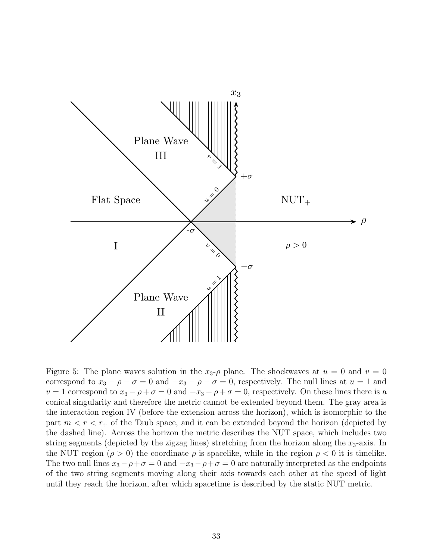

<span id="page-33-0"></span>Figure 5: The plane waves solution in the  $x_3$ - $\rho$  plane. The shockwaves at  $u = 0$  and  $v = 0$ correspond to  $x_3 - \rho - \sigma = 0$  and  $-x_3 - \rho - \sigma = 0$ , respectively. The null lines at  $u = 1$  and  $v = 1$  correspond to  $x_3 - \rho + \sigma = 0$  and  $-x_3 - \rho + \sigma = 0$ , respectively. On these lines there is a conical singularity and therefore the metric cannot be extended beyond them. The gray area is the interaction region IV (before the extension across the horizon), which is isomorphic to the part  $m < r < r_{+}$  of the Taub space, and it can be extended beyond the horizon (depicted by the dashed line). Across the horizon the metric describes the NUT space, which includes two string segments (depicted by the zigzag lines) stretching from the horizon along the  $x_3$ -axis. In the NUT region ( $\rho > 0$ ) the coordinate  $\rho$  is spacelike, while in the region  $\rho < 0$  it is timelike. The two null lines  $x_3 - \rho + \sigma = 0$  and  $-x_3 - \rho + \sigma = 0$  are naturally interpreted as the endpoints of the two string segments moving along their axis towards each other at the speed of light until they reach the horizon, after which spacetime is described by the static NUT metric.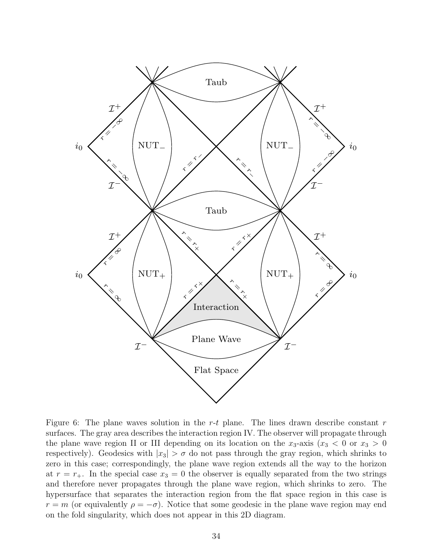

<span id="page-34-0"></span>Figure 6: The plane waves solution in the  $r-t$  plane. The lines drawn describe constant  $r$ surfaces. The gray area describes the interaction region IV. The observer will propagate through the plane wave region II or III depending on its location on the  $x_3$ -axis  $(x_3 < 0 \text{ or } x_3 > 0$ respectively). Geodesics with  $|x_3| > \sigma$  do not pass through the gray region, which shrinks to zero in this case; correspondingly, the plane wave region extends all the way to the horizon at  $r = r_{+}$ . In the special case  $x_3 = 0$  the observer is equally separated from the two strings and therefore never propagates through the plane wave region, which shrinks to zero. The hypersurface that separates the interaction region from the flat space region in this case is  $r = m$  (or equivalently  $\rho = -\sigma$ ). Notice that some geodesic in the plane wave region may end on the fold singularity, which does not appear in this 2D diagram.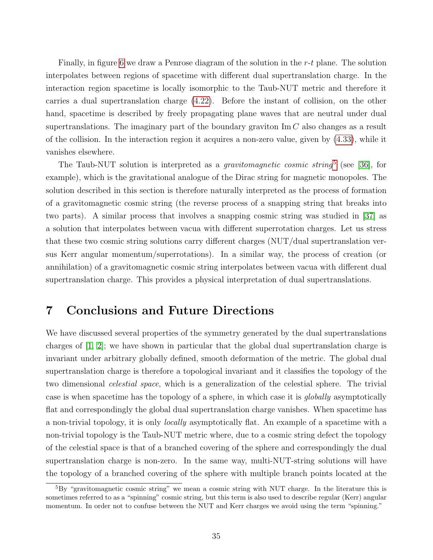Finally, in figure [6](#page-34-0) we draw a Penrose diagram of the solution in the r-t plane. The solution interpolates between regions of spacetime with different dual supertranslation charge. In the interaction region spacetime is locally isomorphic to the Taub-NUT metric and therefore it carries a dual supertranslation charge [\(4.22\)](#page-19-3). Before the instant of collision, on the other hand, spacetime is described by freely propagating plane waves that are neutral under dual supertranslations. The imaginary part of the boundary graviton  $\text{Im } C$  also changes as a result of the collision. In the interaction region it acquires a non-zero value, given by [\(4.33\)](#page-21-1), while it vanishes elsewhere.

The Taub-NUT solution is interpreted as a *gravitomagnetic cosmic string*<sup>[5](#page-35-0)</sup> (see [\[36\]](#page-39-5), for example), which is the gravitational analogue of the Dirac string for magnetic monopoles. The solution described in this section is therefore naturally interpreted as the process of formation of a gravitomagnetic cosmic string (the reverse process of a snapping string that breaks into two parts). A similar process that involves a snapping cosmic string was studied in [\[37\]](#page-39-6) as a solution that interpolates between vacua with different superrotation charges. Let us stress that these two cosmic string solutions carry different charges (NUT/dual supertranslation versus Kerr angular momentum/superrotations). In a similar way, the process of creation (or annihilation) of a gravitomagnetic cosmic string interpolates between vacua with different dual supertranslation charge. This provides a physical interpretation of dual supertranslations.

## 7 Conclusions and Future Directions

We have discussed several properties of the symmetry generated by the dual supertranslations charges of [\[1,](#page-37-0) [2\]](#page-37-1); we have shown in particular that the global dual supertranslation charge is invariant under arbitrary globally defined, smooth deformation of the metric. The global dual supertranslation charge is therefore a topological invariant and it classifies the topology of the two dimensional celestial space, which is a generalization of the celestial sphere. The trivial case is when spacetime has the topology of a sphere, in which case it is *qlobally* asymptotically flat and correspondingly the global dual supertranslation charge vanishes. When spacetime has a non-trivial topology, it is only *locally* asymptotically flat. An example of a spacetime with a non-trivial topology is the Taub-NUT metric where, due to a cosmic string defect the topology of the celestial space is that of a branched covering of the sphere and correspondingly the dual supertranslation charge is non-zero. In the same way, multi-NUT-string solutions will have the topology of a branched covering of the sphere with multiple branch points located at the

<span id="page-35-0"></span> ${}^{5}$ By "gravitomagnetic cosmic string" we mean a cosmic string with NUT charge. In the literature this is sometimes referred to as a "spinning" cosmic string, but this term is also used to describe regular (Kerr) angular momentum. In order not to confuse between the NUT and Kerr charges we avoid using the term "spinning."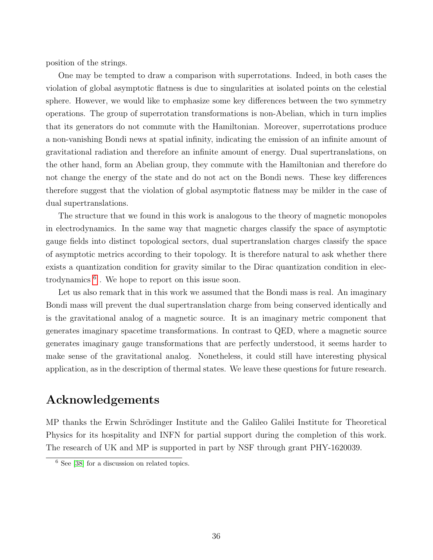position of the strings.

One may be tempted to draw a comparison with superrotations. Indeed, in both cases the violation of global asymptotic flatness is due to singularities at isolated points on the celestial sphere. However, we would like to emphasize some key differences between the two symmetry operations. The group of superrotation transformations is non-Abelian, which in turn implies that its generators do not commute with the Hamiltonian. Moreover, superrotations produce a non-vanishing Bondi news at spatial infinity, indicating the emission of an infinite amount of gravitational radiation and therefore an infinite amount of energy. Dual supertranslations, on the other hand, form an Abelian group, they commute with the Hamiltonian and therefore do not change the energy of the state and do not act on the Bondi news. These key differences therefore suggest that the violation of global asymptotic flatness may be milder in the case of dual supertranslations.

The structure that we found in this work is analogous to the theory of magnetic monopoles in electrodynamics. In the same way that magnetic charges classify the space of asymptotic gauge fields into distinct topological sectors, dual supertranslation charges classify the space of asymptotic metrics according to their topology. It is therefore natural to ask whether there exists a quantization condition for gravity similar to the Dirac quantization condition in electrodynamics [6](#page-36-0) . We hope to report on this issue soon.

Let us also remark that in this work we assumed that the Bondi mass is real. An imaginary Bondi mass will prevent the dual supertranslation charge from being conserved identically and is the gravitational analog of a magnetic source. It is an imaginary metric component that generates imaginary spacetime transformations. In contrast to QED, where a magnetic source generates imaginary gauge transformations that are perfectly understood, it seems harder to make sense of the gravitational analog. Nonetheless, it could still have interesting physical application, as in the description of thermal states. We leave these questions for future research.

# Acknowledgements

MP thanks the Erwin Schrödinger Institute and the Galileo Galilei Institute for Theoretical Physics for its hospitality and INFN for partial support during the completion of this work. The research of UK and MP is supported in part by NSF through grant PHY-1620039.

<span id="page-36-0"></span><sup>6</sup> See [\[38\]](#page-40-0) for a discussion on related topics.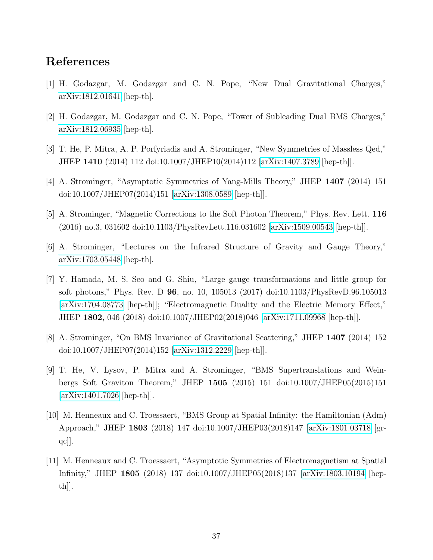# References

- <span id="page-37-0"></span>[1] H. Godazgar, M. Godazgar and C. N. Pope, "New Dual Gravitational Charges," [arXiv:1812.01641](http://arxiv.org/abs/1812.01641) [hep-th].
- <span id="page-37-1"></span>[2] H. Godazgar, M. Godazgar and C. N. Pope, "Tower of Subleading Dual BMS Charges," [arXiv:1812.06935](http://arxiv.org/abs/1812.06935) [hep-th].
- <span id="page-37-2"></span>[3] T. He, P. Mitra, A. P. Porfyriadis and A. Strominger, "New Symmetries of Massless Qed," JHEP 1410 (2014) 112 doi:10.1007/JHEP10(2014)112 [\[arXiv:1407.3789](http://arxiv.org/abs/1407.3789) [hep-th]].
- <span id="page-37-3"></span>[4] A. Strominger, "Asymptotic Symmetries of Yang-Mills Theory," JHEP 1407 (2014) 151 doi:10.1007/JHEP07(2014)151 [\[arXiv:1308.0589](http://arxiv.org/abs/1308.0589) [hep-th]].
- <span id="page-37-4"></span>[5] A. Strominger, "Magnetic Corrections to the Soft Photon Theorem," Phys. Rev. Lett. 116 (2016) no.3, 031602 doi:10.1103/PhysRevLett.116.031602 [\[arXiv:1509.00543](http://arxiv.org/abs/1509.00543) [hep-th]].
- <span id="page-37-5"></span>[6] A. Strominger, "Lectures on the Infrared Structure of Gravity and Gauge Theory," [arXiv:1703.05448](http://arxiv.org/abs/1703.05448) [hep-th].
- <span id="page-37-6"></span>[7] Y. Hamada, M. S. Seo and G. Shiu, "Large gauge transformations and little group for soft photons," Phys. Rev. D 96, no. 10, 105013 (2017) doi:10.1103/PhysRevD.96.105013 [\[arXiv:1704.08773](http://arxiv.org/abs/1704.08773) [hep-th]]; "Electromagnetic Duality and the Electric Memory Effect," JHEP 1802, 046 (2018) doi:10.1007/JHEP02(2018)046 [\[arXiv:1711.09968](http://arxiv.org/abs/1711.09968) [hep-th]].
- <span id="page-37-7"></span>[8] A. Strominger, "On BMS Invariance of Gravitational Scattering," JHEP 1407 (2014) 152 doi:10.1007/JHEP07(2014)152 [\[arXiv:1312.2229](http://arxiv.org/abs/1312.2229) [hep-th]].
- <span id="page-37-8"></span>[9] T. He, V. Lysov, P. Mitra and A. Strominger, "BMS Supertranslations and Weinbergs Soft Graviton Theorem," JHEP 1505 (2015) 151 doi:10.1007/JHEP05(2015)151 [\[arXiv:1401.7026](http://arxiv.org/abs/1401.7026) [hep-th]].
- <span id="page-37-9"></span>[10] M. Henneaux and C. Troessaert, "BMS Group at Spatial Infinity: the Hamiltonian (Adm) Approach," JHEP 1803 (2018) 147 doi:10.1007/JHEP03(2018)147 [\[arXiv:1801.03718](http://arxiv.org/abs/1801.03718) [grqc]].
- <span id="page-37-10"></span>[11] M. Henneaux and C. Troessaert, "Asymptotic Symmetries of Electromagnetism at Spatial Infinity," JHEP 1805 (2018) 137 doi:10.1007/JHEP05(2018)137 [\[arXiv:1803.10194](http://arxiv.org/abs/1803.10194) [hep $th$ .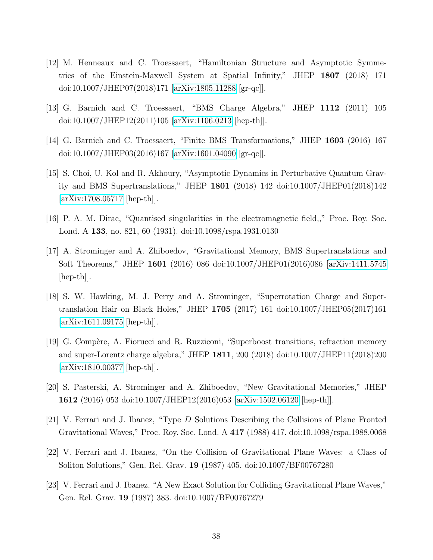- <span id="page-38-0"></span>[12] M. Henneaux and C. Troessaert, "Hamiltonian Structure and Asymptotic Symmetries of the Einstein-Maxwell System at Spatial Infinity," JHEP 1807 (2018) 171 doi:10.1007/JHEP07(2018)171 [\[arXiv:1805.11288](http://arxiv.org/abs/1805.11288) [gr-qc]].
- <span id="page-38-2"></span>[13] G. Barnich and C. Troessaert, "BMS Charge Algebra," JHEP 1112 (2011) 105 doi:10.1007/JHEP12(2011)105 [\[arXiv:1106.0213](http://arxiv.org/abs/1106.0213) [hep-th]].
- <span id="page-38-3"></span>[14] G. Barnich and C. Troessaert, "Finite BMS Transformations," JHEP 1603 (2016) 167 doi:10.1007/JHEP03(2016)167 [\[arXiv:1601.04090](http://arxiv.org/abs/1601.04090) [gr-qc]].
- <span id="page-38-4"></span>[15] S. Choi, U. Kol and R. Akhoury, "Asymptotic Dynamics in Perturbative Quantum Gravity and BMS Supertranslations," JHEP 1801 (2018) 142 doi:10.1007/JHEP01(2018)142 [\[arXiv:1708.05717](http://arxiv.org/abs/1708.05717) [hep-th]].
- <span id="page-38-1"></span>[16] P. A. M. Dirac, "Quantised singularities in the electromagnetic field,," Proc. Roy. Soc. Lond. A 133, no. 821, 60 (1931). doi:10.1098/rspa.1931.0130
- <span id="page-38-5"></span>[17] A. Strominger and A. Zhiboedov, "Gravitational Memory, BMS Supertranslations and Soft Theorems," JHEP 1601 (2016) 086 doi:10.1007/JHEP01(2016)086 [\[arXiv:1411.5745](http://arxiv.org/abs/1411.5745) [hep-th]].
- <span id="page-38-6"></span>[18] S. W. Hawking, M. J. Perry and A. Strominger, "Superrotation Charge and Supertranslation Hair on Black Holes," JHEP 1705 (2017) 161 doi:10.1007/JHEP05(2017)161 [\[arXiv:1611.09175](http://arxiv.org/abs/1611.09175) [hep-th]].
- <span id="page-38-7"></span>[19] G. Compère, A. Fiorucci and R. Ruzziconi, "Superboost transitions, refraction memory and super-Lorentz charge algebra," JHEP 1811, 200 (2018) doi:10.1007/JHEP11(2018)200  $\arXiv:1810.00377$   $\vert \text{hep-th} \vert \vert$ .
- <span id="page-38-8"></span>[20] S. Pasterski, A. Strominger and A. Zhiboedov, "New Gravitational Memories," JHEP 1612 (2016) 053 doi:10.1007/JHEP12(2016)053 [\[arXiv:1502.06120](http://arxiv.org/abs/1502.06120) [hep-th]].
- <span id="page-38-9"></span>[21] V. Ferrari and J. Ibanez, "Type D Solutions Describing the Collisions of Plane Fronted Gravitational Waves," Proc. Roy. Soc. Lond. A 417 (1988) 417. doi:10.1098/rspa.1988.0068
- <span id="page-38-10"></span>[22] V. Ferrari and J. Ibanez, "On the Collision of Gravitational Plane Waves: a Class of Soliton Solutions," Gen. Rel. Grav. 19 (1987) 405. doi:10.1007/BF00767280
- <span id="page-38-11"></span>[23] V. Ferrari and J. Ibanez, "A New Exact Solution for Colliding Gravitational Plane Waves," Gen. Rel. Grav. 19 (1987) 383. doi:10.1007/BF00767279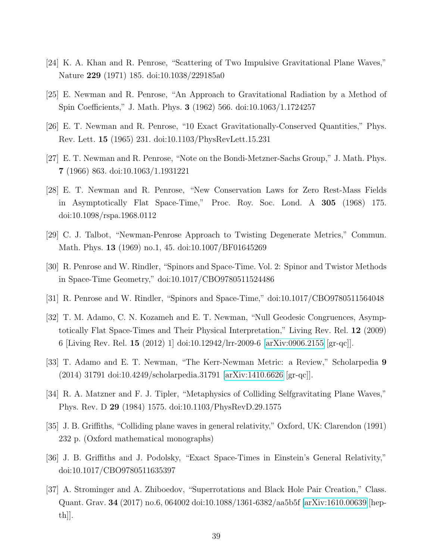- <span id="page-39-0"></span>[24] K. A. Khan and R. Penrose, "Scattering of Two Impulsive Gravitational Plane Waves," Nature 229 (1971) 185. doi:10.1038/229185a0
- <span id="page-39-1"></span>[25] E. Newman and R. Penrose, "An Approach to Gravitational Radiation by a Method of Spin Coefficients," J. Math. Phys. 3 (1962) 566. doi:10.1063/1.1724257
- [26] E. T. Newman and R. Penrose, "10 Exact Gravitationally-Conserved Quantities," Phys. Rev. Lett. 15 (1965) 231. doi:10.1103/PhysRevLett.15.231
- [27] E. T. Newman and R. Penrose, "Note on the Bondi-Metzner-Sachs Group," J. Math. Phys. 7 (1966) 863. doi:10.1063/1.1931221
- [28] E. T. Newman and R. Penrose, "New Conservation Laws for Zero Rest-Mass Fields in Asymptotically Flat Space-Time," Proc. Roy. Soc. Lond. A 305 (1968) 175. doi:10.1098/rspa.1968.0112
- [29] C. J. Talbot, "Newman-Penrose Approach to Twisting Degenerate Metrics," Commun. Math. Phys. **13** (1969) no.1, 45. doi:10.1007/BF01645269
- [30] R. Penrose and W. Rindler, "Spinors and Space-Time. Vol. 2: Spinor and Twistor Methods in Space-Time Geometry," doi:10.1017/CBO9780511524486
- [31] R. Penrose and W. Rindler, "Spinors and Space-Time," doi:10.1017/CBO9780511564048
- [32] T. M. Adamo, C. N. Kozameh and E. T. Newman, "Null Geodesic Congruences, Asymptotically Flat Space-Times and Their Physical Interpretation," Living Rev. Rel. 12 (2009) 6 [Living Rev. Rel. 15 (2012) 1] doi:10.12942/lrr-2009-6 [\[arXiv:0906.2155](http://arxiv.org/abs/0906.2155) [gr-qc]].
- <span id="page-39-2"></span>[33] T. Adamo and E. T. Newman, "The Kerr-Newman Metric: a Review," Scholarpedia 9 (2014) 31791 doi:10.4249/scholarpedia.31791 [\[arXiv:1410.6626](http://arxiv.org/abs/1410.6626) [gr-qc]].
- <span id="page-39-3"></span>[34] R. A. Matzner and F. J. Tipler, "Metaphysics of Colliding Selfgravitating Plane Waves," Phys. Rev. D 29 (1984) 1575. doi:10.1103/PhysRevD.29.1575
- <span id="page-39-4"></span>[35] J. B. Griffiths, "Colliding plane waves in general relativity," Oxford, UK: Clarendon (1991) 232 p. (Oxford mathematical monographs)
- <span id="page-39-5"></span>[36] J. B. Griffiths and J. Podolsky, "Exact Space-Times in Einstein's General Relativity," doi:10.1017/CBO9780511635397
- <span id="page-39-6"></span>[37] A. Strominger and A. Zhiboedov, "Superrotations and Black Hole Pair Creation," Class. Quant. Grav. 34 (2017) no.6, 064002 doi:10.1088/1361-6382/aa5b5f [\[arXiv:1610.00639](http://arxiv.org/abs/1610.00639) [hep- $\lfloor \cdot \rfloor$